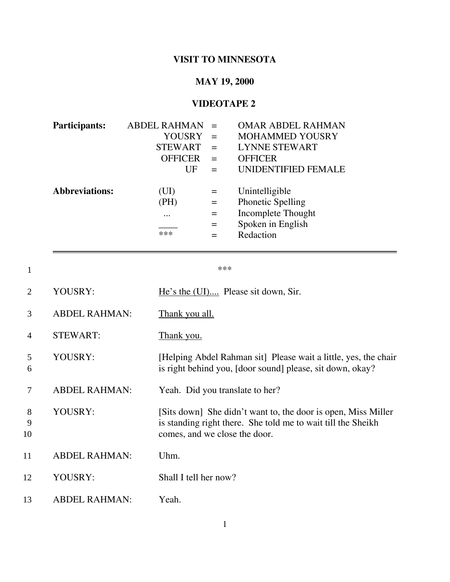## **VISIT TO MINNESOTA**

## **MAY 19, 2000**

## **VIDEOTAPE 2**

| <b>Participants:</b>  | <b>ABDEL RAHMAN</b> |     | <b>OMAR ABDEL RAHMAN</b> |
|-----------------------|---------------------|-----|--------------------------|
|                       | <b>YOUSRY</b>       | $=$ | <b>MOHAMMED YOUSRY</b>   |
|                       | <b>STEWART</b>      |     | <b>LYNNE STEWART</b>     |
|                       | <b>OFFICER</b>      | $=$ | <b>OFFICER</b>           |
|                       | UF                  |     | UNIDENTIFIED FEMALE      |
|                       |                     |     |                          |
| <b>Abbreviations:</b> | (UI)                |     | Unintelligible           |
|                       | (PH)                | $=$ | <b>Phonetic Spelling</b> |
|                       | $\cdots$            |     | Incomplete Thought       |
|                       |                     | $=$ | Spoken in English        |
|                       | ***                 |     | Redaction                |

 $1$  \*\*\*

| 2            | YOUSRY:              | He's the (UI) Please sit down, Sir.                                                                                                                            |
|--------------|----------------------|----------------------------------------------------------------------------------------------------------------------------------------------------------------|
| 3            | <b>ABDEL RAHMAN:</b> | Thank you all.                                                                                                                                                 |
| 4            | <b>STEWART:</b>      | Thank you.                                                                                                                                                     |
| 5<br>6       | YOUSRY:              | [Helping Abdel Rahman sit] Please wait a little, yes, the chair<br>is right behind you, [door sound] please, sit down, okay?                                   |
| 7            | <b>ABDEL RAHMAN:</b> | Yeah. Did you translate to her?                                                                                                                                |
| 8<br>9<br>10 | YOUSRY:              | [Sits down] She didn't want to, the door is open, Miss Miller<br>is standing right there. She told me to wait till the Sheikh<br>comes, and we close the door. |
| 11           | <b>ABDEL RAHMAN:</b> | Uhm.                                                                                                                                                           |
| 12           | YOUSRY:              | Shall I tell her now?                                                                                                                                          |
| 13           | <b>ABDEL RAHMAN:</b> | Yeah.                                                                                                                                                          |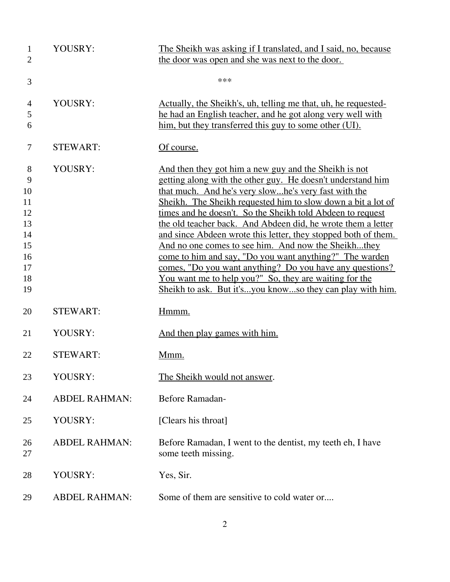| $\mathbf{1}$<br>$\overline{2}$                                     | YOUSRY:              | The Sheikh was asking if I translated, and I said, no, because<br>the door was open and she was next to the door.                                                                                                                                                                                                                                                                                                                                                                                                                                                                                                                                                                                                                                 |
|--------------------------------------------------------------------|----------------------|---------------------------------------------------------------------------------------------------------------------------------------------------------------------------------------------------------------------------------------------------------------------------------------------------------------------------------------------------------------------------------------------------------------------------------------------------------------------------------------------------------------------------------------------------------------------------------------------------------------------------------------------------------------------------------------------------------------------------------------------------|
| 3                                                                  |                      | ***                                                                                                                                                                                                                                                                                                                                                                                                                                                                                                                                                                                                                                                                                                                                               |
| $\overline{4}$<br>5<br>6                                           | YOUSRY:              | <u>Actually, the Sheikh's, uh, telling me that, uh, he requested-</u><br>he had an English teacher, and he got along very well with<br>him, but they transferred this guy to some other (UI).                                                                                                                                                                                                                                                                                                                                                                                                                                                                                                                                                     |
| 7                                                                  | <b>STEWART:</b>      | Of course.                                                                                                                                                                                                                                                                                                                                                                                                                                                                                                                                                                                                                                                                                                                                        |
| 8<br>9<br>10<br>11<br>12<br>13<br>14<br>15<br>16<br>17<br>18<br>19 | YOUSRY:              | And then they got him a new guy and the Sheikh is not<br>getting along with the other guy. He doesn't understand him<br>that much. And he's very slowhe's very fast with the<br>Sheikh. The Sheikh requested him to slow down a bit a lot of<br>times and he doesn't. So the Sheikh told Abdeen to request<br>the old teacher back. And Abdeen did, he wrote them a letter<br>and since Abdeen wrote this letter, they stopped both of them.<br>And no one comes to see him. And now the Sheikhthey<br>come to him and say, "Do you want anything?" The warden<br>comes, "Do you want anything? Do you have any questions?<br>You want me to help you?" So, they are waiting for the<br>Sheikh to ask. But it'syou knowso they can play with him. |
| 20                                                                 | <b>STEWART:</b>      | Hmmm.                                                                                                                                                                                                                                                                                                                                                                                                                                                                                                                                                                                                                                                                                                                                             |
| 21                                                                 | YOUSRY:              | And then play games with him.                                                                                                                                                                                                                                                                                                                                                                                                                                                                                                                                                                                                                                                                                                                     |
| 22                                                                 | <b>STEWART:</b>      | Mmm.                                                                                                                                                                                                                                                                                                                                                                                                                                                                                                                                                                                                                                                                                                                                              |
| 23                                                                 | YOUSRY:              | The Sheikh would not answer.                                                                                                                                                                                                                                                                                                                                                                                                                                                                                                                                                                                                                                                                                                                      |
| 24                                                                 | <b>ABDEL RAHMAN:</b> | Before Ramadan-                                                                                                                                                                                                                                                                                                                                                                                                                                                                                                                                                                                                                                                                                                                                   |
| 25                                                                 | YOUSRY:              | [Clears his throat]                                                                                                                                                                                                                                                                                                                                                                                                                                                                                                                                                                                                                                                                                                                               |
| 26<br>27                                                           | <b>ABDEL RAHMAN:</b> | Before Ramadan, I went to the dentist, my teeth eh, I have<br>some teeth missing.                                                                                                                                                                                                                                                                                                                                                                                                                                                                                                                                                                                                                                                                 |
| 28                                                                 | YOUSRY:              | Yes, Sir.                                                                                                                                                                                                                                                                                                                                                                                                                                                                                                                                                                                                                                                                                                                                         |
| 29                                                                 | <b>ABDEL RAHMAN:</b> | Some of them are sensitive to cold water or                                                                                                                                                                                                                                                                                                                                                                                                                                                                                                                                                                                                                                                                                                       |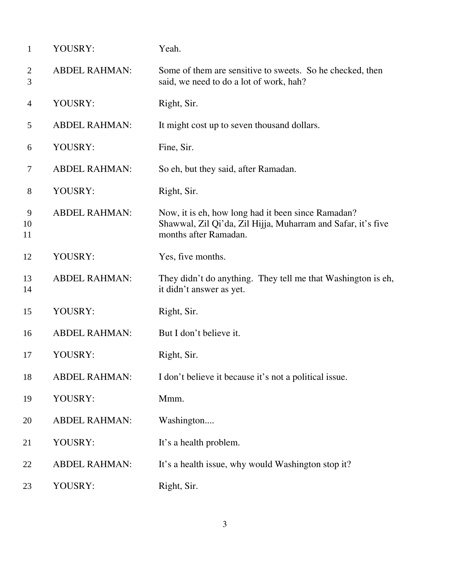| $\mathbf{1}$        | YOUSRY:              | Yeah.                                                                                                                                       |
|---------------------|----------------------|---------------------------------------------------------------------------------------------------------------------------------------------|
| $\overline{2}$<br>3 | <b>ABDEL RAHMAN:</b> | Some of them are sensitive to sweets. So he checked, then<br>said, we need to do a lot of work, hah?                                        |
| $\overline{4}$      | YOUSRY:              | Right, Sir.                                                                                                                                 |
| 5                   | <b>ABDEL RAHMAN:</b> | It might cost up to seven thousand dollars.                                                                                                 |
| 6                   | YOUSRY:              | Fine, Sir.                                                                                                                                  |
| $\tau$              | <b>ABDEL RAHMAN:</b> | So eh, but they said, after Ramadan.                                                                                                        |
| 8                   | YOUSRY:              | Right, Sir.                                                                                                                                 |
| 9<br>10<br>11       | <b>ABDEL RAHMAN:</b> | Now, it is eh, how long had it been since Ramadan?<br>Shawwal, Zil Qi'da, Zil Hijja, Muharram and Safar, it's five<br>months after Ramadan. |
| 12                  | YOUSRY:              | Yes, five months.                                                                                                                           |
| 13<br>14            | <b>ABDEL RAHMAN:</b> | They didn't do anything. They tell me that Washington is eh,<br>it didn't answer as yet.                                                    |
| 15                  | YOUSRY:              | Right, Sir.                                                                                                                                 |
| 16                  | <b>ABDEL RAHMAN:</b> | But I don't believe it.                                                                                                                     |
| 17                  | YOUSRY:              | Right, Sir.                                                                                                                                 |
| 18                  | <b>ABDEL RAHMAN:</b> | I don't believe it because it's not a political issue.                                                                                      |
| 19                  | YOUSRY:              | Mmm.                                                                                                                                        |
| 20                  | <b>ABDEL RAHMAN:</b> | Washington                                                                                                                                  |
| 21                  | YOUSRY:              | It's a health problem.                                                                                                                      |
| 22                  | <b>ABDEL RAHMAN:</b> | It's a health issue, why would Washington stop it?                                                                                          |
| 23                  | YOUSRY:              | Right, Sir.                                                                                                                                 |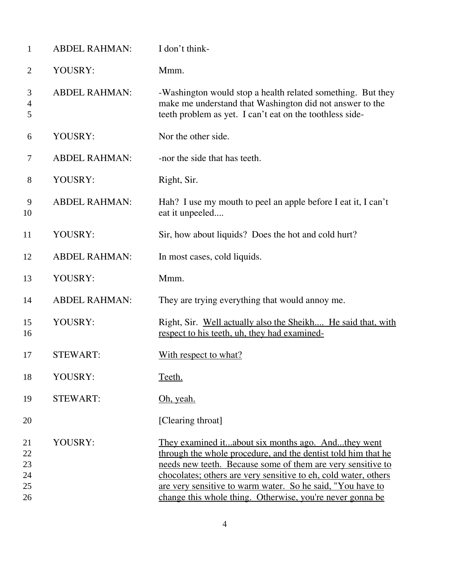| $\mathbf{1}$                     | <b>ABDEL RAHMAN:</b> | I don't think-                                                                                                                                                                                                                                                                                                                                                                   |
|----------------------------------|----------------------|----------------------------------------------------------------------------------------------------------------------------------------------------------------------------------------------------------------------------------------------------------------------------------------------------------------------------------------------------------------------------------|
| $\overline{2}$                   | YOUSRY:              | Mmm.                                                                                                                                                                                                                                                                                                                                                                             |
| 3<br>$\overline{4}$<br>5         | <b>ABDEL RAHMAN:</b> | -Washington would stop a health related something. But they<br>make me understand that Washington did not answer to the<br>teeth problem as yet. I can't eat on the toothless side-                                                                                                                                                                                              |
| 6                                | YOUSRY:              | Nor the other side.                                                                                                                                                                                                                                                                                                                                                              |
| 7                                | <b>ABDEL RAHMAN:</b> | -nor the side that has teeth.                                                                                                                                                                                                                                                                                                                                                    |
| 8                                | YOUSRY:              | Right, Sir.                                                                                                                                                                                                                                                                                                                                                                      |
| 9<br>10                          | <b>ABDEL RAHMAN:</b> | Hah? I use my mouth to peel an apple before I eat it, I can't<br>eat it unpeeled                                                                                                                                                                                                                                                                                                 |
| 11                               | YOUSRY:              | Sir, how about liquids? Does the hot and cold hurt?                                                                                                                                                                                                                                                                                                                              |
| 12                               | <b>ABDEL RAHMAN:</b> | In most cases, cold liquids.                                                                                                                                                                                                                                                                                                                                                     |
| 13                               | YOUSRY:              | Mmm.                                                                                                                                                                                                                                                                                                                                                                             |
| 14                               | <b>ABDEL RAHMAN:</b> | They are trying everything that would annoy me.                                                                                                                                                                                                                                                                                                                                  |
| 15<br>16                         | YOUSRY:              | Right, Sir. Well actually also the Sheikh He said that, with<br>respect to his teeth, uh, they had examined-                                                                                                                                                                                                                                                                     |
| 17                               | <b>STEWART:</b>      | With respect to what?                                                                                                                                                                                                                                                                                                                                                            |
| 18                               | YOUSRY:              | Teeth.                                                                                                                                                                                                                                                                                                                                                                           |
| 19                               | <b>STEWART:</b>      | Oh, yeah.                                                                                                                                                                                                                                                                                                                                                                        |
| 20                               |                      | [Clearing throat]                                                                                                                                                                                                                                                                                                                                                                |
| 21<br>22<br>23<br>24<br>25<br>26 | YOUSRY:              | They examined itabout six months ago. Andthey went<br>through the whole procedure, and the dentist told him that he<br>needs new teeth. Because some of them are very sensitive to<br>chocolates; others are very sensitive to eh, cold water, others<br>are very sensitive to warm water. So he said, "You have to<br>change this whole thing. Otherwise, you're never gonna be |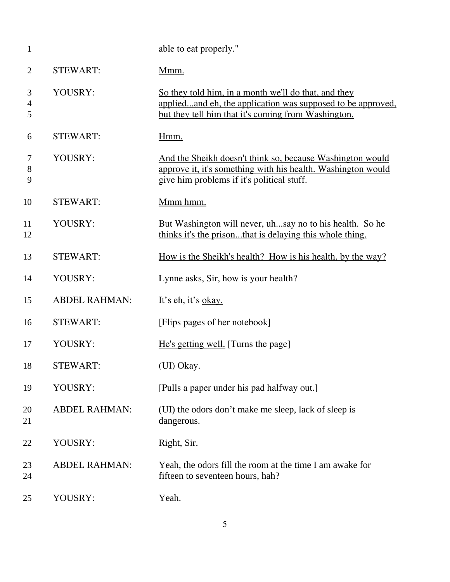| $\mathbf{1}$    |                      | able to eat properly."                                                                                                                                                     |
|-----------------|----------------------|----------------------------------------------------------------------------------------------------------------------------------------------------------------------------|
| $\overline{2}$  | <b>STEWART:</b>      | Mmm.                                                                                                                                                                       |
| 3<br>4<br>5     | YOUSRY:              | So they told him, in a month we'll do that, and they<br>appliedand eh, the application was supposed to be approved,<br>but they tell him that it's coming from Washington. |
| 6               | <b>STEWART:</b>      | Hmm.                                                                                                                                                                       |
| 7<br>$8\,$<br>9 | YOUSRY:              | And the Sheikh doesn't think so, because Washington would<br>approve it, it's something with his health. Washington would<br>give him problems if it's political stuff.    |
| 10              | <b>STEWART:</b>      | Mmm hmm.                                                                                                                                                                   |
| 11<br>12        | YOUSRY:              | But Washington will never, uhsay no to his health. So he<br>thinks it's the prisonthat is delaying this whole thing.                                                       |
| 13              | <b>STEWART:</b>      | <u>How is the Sheikh's health? How is his health, by the way?</u>                                                                                                          |
| 14              | YOUSRY:              | Lynne asks, Sir, how is your health?                                                                                                                                       |
| 15              | <b>ABDEL RAHMAN:</b> | It's eh, it's okay.                                                                                                                                                        |
| 16              | <b>STEWART:</b>      | [Flips pages of her notebook]                                                                                                                                              |
| 17              | YOUSRY:              | He's getting well. [Turns the page]                                                                                                                                        |
| 18              | <b>STEWART:</b>      | (UI) Okay.                                                                                                                                                                 |
| 19              | YOUSRY:              | [Pulls a paper under his pad halfway out.]                                                                                                                                 |
| 20<br>21        | <b>ABDEL RAHMAN:</b> | (UI) the odors don't make me sleep, lack of sleep is<br>dangerous.                                                                                                         |
| 22              | YOUSRY:              | Right, Sir.                                                                                                                                                                |
| 23<br>24        | <b>ABDEL RAHMAN:</b> | Yeah, the odors fill the room at the time I am awake for<br>fifteen to seventeen hours, hah?                                                                               |
| 25              | YOUSRY:              | Yeah.                                                                                                                                                                      |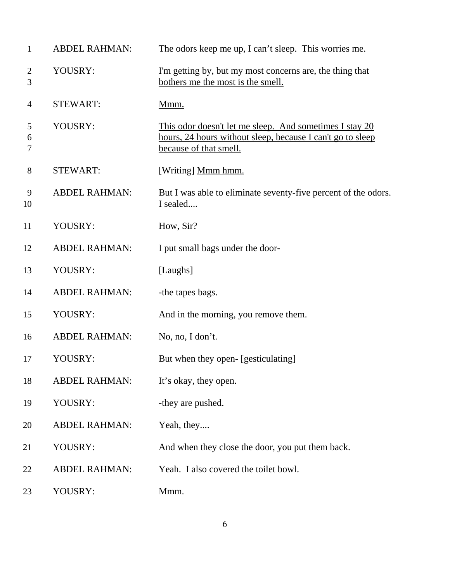| $\mathbf{1}$        | <b>ABDEL RAHMAN:</b> | The odors keep me up, I can't sleep. This worries me.                                                                                           |
|---------------------|----------------------|-------------------------------------------------------------------------------------------------------------------------------------------------|
| $\overline{2}$<br>3 | YOUSRY:              | <u>I'm getting by, but my most concerns are, the thing that</u><br>bothers me the most is the smell.                                            |
| 4                   | <b>STEWART:</b>      | Mmm.                                                                                                                                            |
| 5<br>6<br>7         | YOUSRY:              | This odor doesn't let me sleep. And sometimes I stay 20<br>hours, 24 hours without sleep, because I can't go to sleep<br>because of that smell. |
| 8                   | <b>STEWART:</b>      | [Writing] Mmm hmm.                                                                                                                              |
| 9<br>10             | <b>ABDEL RAHMAN:</b> | But I was able to eliminate seventy-five percent of the odors.<br>I sealed                                                                      |
| 11                  | YOUSRY:              | How, Sir?                                                                                                                                       |
| 12                  | <b>ABDEL RAHMAN:</b> | I put small bags under the door-                                                                                                                |
| 13                  | YOUSRY:              | [Laughs]                                                                                                                                        |
| 14                  | <b>ABDEL RAHMAN:</b> | -the tapes bags.                                                                                                                                |
| 15                  | YOUSRY:              | And in the morning, you remove them.                                                                                                            |
| 16                  | <b>ABDEL RAHMAN:</b> | No, no, I don't.                                                                                                                                |
| 17                  | YOUSRY:              | But when they open- [gesticulating]                                                                                                             |
| 18                  | <b>ABDEL RAHMAN:</b> | It's okay, they open.                                                                                                                           |
| 19                  | YOUSRY:              | -they are pushed.                                                                                                                               |
| 20                  | <b>ABDEL RAHMAN:</b> | Yeah, they                                                                                                                                      |
| 21                  | YOUSRY:              | And when they close the door, you put them back.                                                                                                |
| 22                  | <b>ABDEL RAHMAN:</b> | Yeah. I also covered the toilet bowl.                                                                                                           |
| 23                  | YOUSRY:              | Mmm.                                                                                                                                            |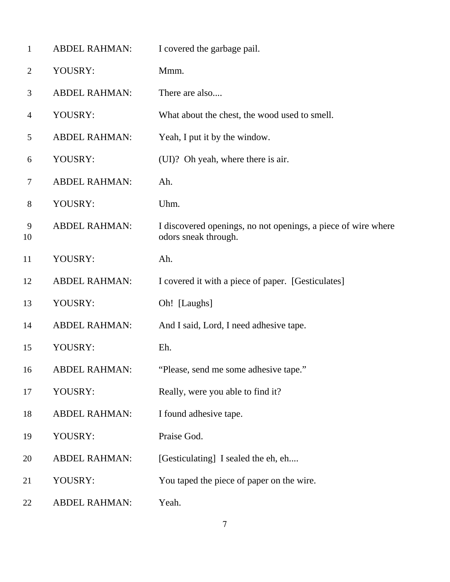| $\mathbf{1}$       | <b>ABDEL RAHMAN:</b> | I covered the garbage pail.                                                           |
|--------------------|----------------------|---------------------------------------------------------------------------------------|
| $\overline{2}$     | YOUSRY:              | Mmm.                                                                                  |
| 3                  | <b>ABDEL RAHMAN:</b> | There are also                                                                        |
| $\overline{4}$     | YOUSRY:              | What about the chest, the wood used to smell.                                         |
| 5                  | <b>ABDEL RAHMAN:</b> | Yeah, I put it by the window.                                                         |
| 6                  | YOUSRY:              | (UI)? Oh yeah, where there is air.                                                    |
| $\overline{7}$     | <b>ABDEL RAHMAN:</b> | Ah.                                                                                   |
| $8\,$              | YOUSRY:              | Uhm.                                                                                  |
| $\mathbf{9}$<br>10 | <b>ABDEL RAHMAN:</b> | I discovered openings, no not openings, a piece of wire where<br>odors sneak through. |
| 11                 | YOUSRY:              | Ah.                                                                                   |
| 12                 | <b>ABDEL RAHMAN:</b> | I covered it with a piece of paper. [Gesticulates]                                    |
| 13                 | YOUSRY:              | Oh! [Laughs]                                                                          |
| 14                 | <b>ABDEL RAHMAN:</b> | And I said, Lord, I need adhesive tape.                                               |
| 15                 | YOUSRY:              | Eh.                                                                                   |
| 16                 | <b>ABDEL RAHMAN:</b> | "Please, send me some adhesive tape."                                                 |
| 17                 | YOUSRY:              | Really, were you able to find it?                                                     |
| 18                 | <b>ABDEL RAHMAN:</b> | I found adhesive tape.                                                                |
| 19                 | YOUSRY:              | Praise God.                                                                           |
| 20                 | <b>ABDEL RAHMAN:</b> | [Gesticulating] I sealed the eh, eh                                                   |
| 21                 | YOUSRY:              | You taped the piece of paper on the wire.                                             |
| 22                 | <b>ABDEL RAHMAN:</b> | Yeah.                                                                                 |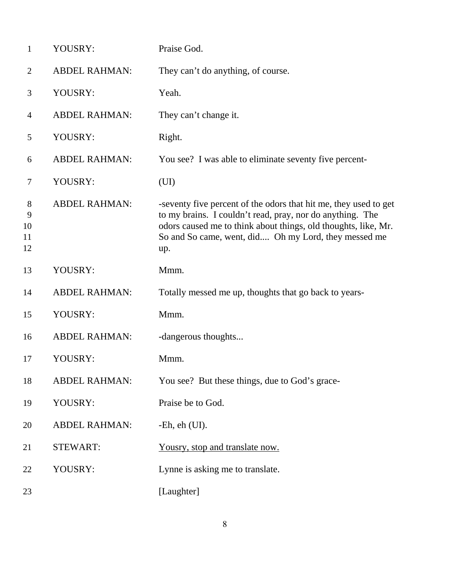| $\mathbf{1}$             | YOUSRY:              | Praise God.                                                                                                                                                                                                                                                    |
|--------------------------|----------------------|----------------------------------------------------------------------------------------------------------------------------------------------------------------------------------------------------------------------------------------------------------------|
| $\overline{2}$           | <b>ABDEL RAHMAN:</b> | They can't do anything, of course.                                                                                                                                                                                                                             |
| 3                        | YOUSRY:              | Yeah.                                                                                                                                                                                                                                                          |
| $\overline{4}$           | <b>ABDEL RAHMAN:</b> | They can't change it.                                                                                                                                                                                                                                          |
| 5                        | YOUSRY:              | Right.                                                                                                                                                                                                                                                         |
| 6                        | <b>ABDEL RAHMAN:</b> | You see? I was able to eliminate seventy five percent-                                                                                                                                                                                                         |
| 7                        | YOUSRY:              | (UI)                                                                                                                                                                                                                                                           |
| 8<br>9<br>10<br>11<br>12 | <b>ABDEL RAHMAN:</b> | -seventy five percent of the odors that hit me, they used to get<br>to my brains. I couldn't read, pray, nor do anything. The<br>odors caused me to think about things, old thoughts, like, Mr.<br>So and So came, went, did Oh my Lord, they messed me<br>up. |
| 13                       | YOUSRY:              | Mmm.                                                                                                                                                                                                                                                           |
| 14                       | <b>ABDEL RAHMAN:</b> | Totally messed me up, thoughts that go back to years-                                                                                                                                                                                                          |
| 15                       | YOUSRY:              | Mmm.                                                                                                                                                                                                                                                           |
| 16                       | <b>ABDEL RAHMAN:</b> | -dangerous thoughts                                                                                                                                                                                                                                            |
| 17                       | YOUSRY:              | Mmm.                                                                                                                                                                                                                                                           |
| 18                       | <b>ABDEL RAHMAN:</b> | You see? But these things, due to God's grace-                                                                                                                                                                                                                 |
| 19                       | YOUSRY:              | Praise be to God.                                                                                                                                                                                                                                              |
| 20                       | <b>ABDEL RAHMAN:</b> | $-Eh$ , eh $(UI)$ .                                                                                                                                                                                                                                            |
| 21                       | <b>STEWART:</b>      | Yousry, stop and translate now.                                                                                                                                                                                                                                |
| 22                       | YOUSRY:              | Lynne is asking me to translate.                                                                                                                                                                                                                               |
| 23                       |                      | [Laughter]                                                                                                                                                                                                                                                     |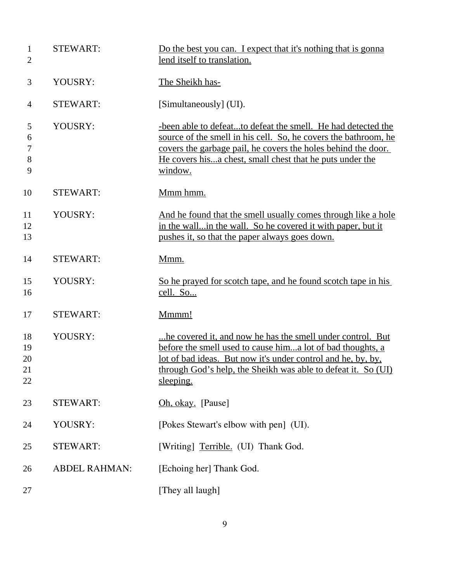| $\mathbf{1}$<br>$\overline{2}$ | <b>STEWART:</b>      | Do the best you can. I expect that it's nothing that is gonna<br>lend itself to translation.                                                                                                                                                                            |
|--------------------------------|----------------------|-------------------------------------------------------------------------------------------------------------------------------------------------------------------------------------------------------------------------------------------------------------------------|
| 3                              | YOUSRY:              | The Sheikh has-                                                                                                                                                                                                                                                         |
| 4                              | <b>STEWART:</b>      | [Simultaneously] (UI).                                                                                                                                                                                                                                                  |
| 5<br>6<br>$\tau$<br>8<br>9     | YOUSRY:              | -been able to defeatto defeat the smell. He had detected the<br>source of the smell in his cell. So, he covers the bathroom, he<br>covers the garbage pail, he covers the holes behind the door.<br>He covers hisa chest, small chest that he puts under the<br>window. |
| 10                             | <b>STEWART:</b>      | Mmm hmm.                                                                                                                                                                                                                                                                |
| 11<br>12<br>13                 | YOUSRY:              | And he found that the smell usually comes through like a hole<br>in the wallin the wall. So he covered it with paper, but it<br>pushes it, so that the paper always goes down.                                                                                          |
| 14                             | <b>STEWART:</b>      | Mmm.                                                                                                                                                                                                                                                                    |
| 15<br>16                       | YOUSRY:              | So he prayed for scotch tape, and he found scotch tape in his<br>cell. So                                                                                                                                                                                               |
| 17                             | <b>STEWART:</b>      | Mmmm!                                                                                                                                                                                                                                                                   |
| 18<br>19<br>20<br>21<br>22     | YOUSRY:              | he covered it, and now he has the smell under control. But<br>before the smell used to cause hima lot of bad thoughts, a<br>lot of bad ideas. But now it's under control and he, by, by,<br>through God's help, the Sheikh was able to defeat it. So (UI)<br>sleeping.  |
| 23                             | <b>STEWART:</b>      | Oh, okay. [Pause]                                                                                                                                                                                                                                                       |
| 24                             | YOUSRY:              | [Pokes Stewart's elbow with pen] (UI).                                                                                                                                                                                                                                  |
| 25                             | <b>STEWART:</b>      | [Writing] Terrible. (UI) Thank God.                                                                                                                                                                                                                                     |
| 26                             | <b>ABDEL RAHMAN:</b> | [Echoing her] Thank God.                                                                                                                                                                                                                                                |
| 27                             |                      | [They all laugh]                                                                                                                                                                                                                                                        |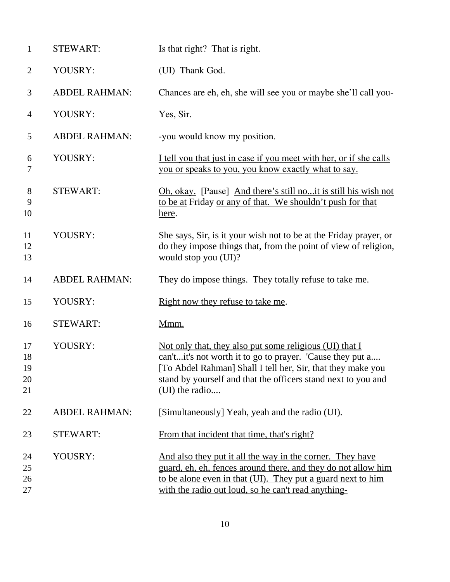| $\mathbf{1}$               | <b>STEWART:</b>      | Is that right? That is right.                                                                                                                                                                                                                                          |
|----------------------------|----------------------|------------------------------------------------------------------------------------------------------------------------------------------------------------------------------------------------------------------------------------------------------------------------|
| $\overline{2}$             | YOUSRY:              | (UI) Thank God.                                                                                                                                                                                                                                                        |
| 3                          | <b>ABDEL RAHMAN:</b> | Chances are eh, eh, she will see you or maybe she'll call you-                                                                                                                                                                                                         |
| 4                          | YOUSRY:              | Yes, Sir.                                                                                                                                                                                                                                                              |
| 5                          | <b>ABDEL RAHMAN:</b> | -you would know my position.                                                                                                                                                                                                                                           |
| 6<br>7                     | YOUSRY:              | I tell you that just in case if you meet with her, or if she calls<br>you or speaks to you, you know exactly what to say.                                                                                                                                              |
| 8<br>9<br>10               | <b>STEWART:</b>      | Oh, okay. [Pause] And there's still noit is still his wish not<br>to be at Friday or any of that. We shouldn't push for that<br>here.                                                                                                                                  |
| 11<br>12<br>13             | YOUSRY:              | She says, Sir, is it your wish not to be at the Friday prayer, or<br>do they impose things that, from the point of view of religion,<br>would stop you (UI)?                                                                                                           |
| 14                         | <b>ABDEL RAHMAN:</b> | They do impose things. They totally refuse to take me.                                                                                                                                                                                                                 |
| 15                         | YOUSRY:              | Right now they refuse to take me.                                                                                                                                                                                                                                      |
| 16                         | <b>STEWART:</b>      | Mmm.                                                                                                                                                                                                                                                                   |
| 17<br>18<br>19<br>20<br>21 | YOUSRY:              | Not only that, they also put some religious (UI) that I<br>can'tit's not worth it to go to prayer. 'Cause they put a<br>[To Abdel Rahman] Shall I tell her, Sir, that they make you<br>stand by yourself and that the officers stand next to you and<br>(UI) the radio |
| 22                         | <b>ABDEL RAHMAN:</b> | [Simultaneously] Yeah, yeah and the radio (UI).                                                                                                                                                                                                                        |
| 23                         | <b>STEWART:</b>      | From that incident that time, that's right?                                                                                                                                                                                                                            |
| 24<br>25<br>26<br>27       | YOUSRY:              | And also they put it all the way in the corner. They have<br>guard, eh, eh, fences around there, and they do not allow him<br>to be alone even in that (UI). They put a guard next to him<br>with the radio out loud, so he can't read anything-                       |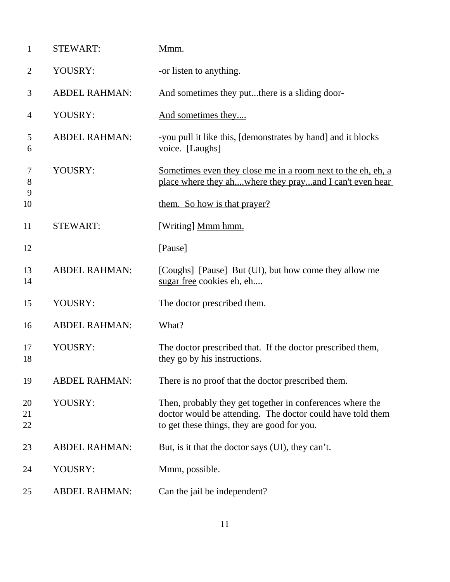| $\mathbf{1}$   | <b>STEWART:</b>      | Mmm.                                                                                                                                                                   |
|----------------|----------------------|------------------------------------------------------------------------------------------------------------------------------------------------------------------------|
| $\overline{2}$ | YOUSRY:              | -or listen to anything.                                                                                                                                                |
| 3              | <b>ABDEL RAHMAN:</b> | And sometimes they putthere is a sliding door-                                                                                                                         |
| $\overline{4}$ | YOUSRY:              | And sometimes they                                                                                                                                                     |
| 5<br>6         | <b>ABDEL RAHMAN:</b> | -you pull it like this, [demonstrates by hand] and it blocks<br>voice. [Laughs]                                                                                        |
| $\tau$<br>8    | YOUSRY:              | Sometimes even they close me in a room next to the eh, eh, a<br>place where they ah,where they prayand I can't even hear                                               |
| 9<br>10        |                      | them. So how is that prayer?                                                                                                                                           |
| 11             | <b>STEWART:</b>      | [Writing] Mmm hmm.                                                                                                                                                     |
| 12             |                      | [Pause]                                                                                                                                                                |
| 13<br>14       | <b>ABDEL RAHMAN:</b> | [Coughs] [Pause] But (UI), but how come they allow me<br>sugar free cookies eh, eh                                                                                     |
| 15             | YOUSRY:              | The doctor prescribed them.                                                                                                                                            |
| 16             | <b>ABDEL RAHMAN:</b> | What?                                                                                                                                                                  |
| 17<br>18       | YOUSRY:              | The doctor prescribed that. If the doctor prescribed them,<br>they go by his instructions.                                                                             |
| 19             | <b>ABDEL RAHMAN:</b> | There is no proof that the doctor prescribed them.                                                                                                                     |
| 20<br>21<br>22 | YOUSRY:              | Then, probably they get together in conferences where the<br>doctor would be attending. The doctor could have told them<br>to get these things, they are good for you. |
| 23             | <b>ABDEL RAHMAN:</b> | But, is it that the doctor says (UI), they can't.                                                                                                                      |
| 24             | YOUSRY:              | Mmm, possible.                                                                                                                                                         |
| 25             | <b>ABDEL RAHMAN:</b> | Can the jail be independent?                                                                                                                                           |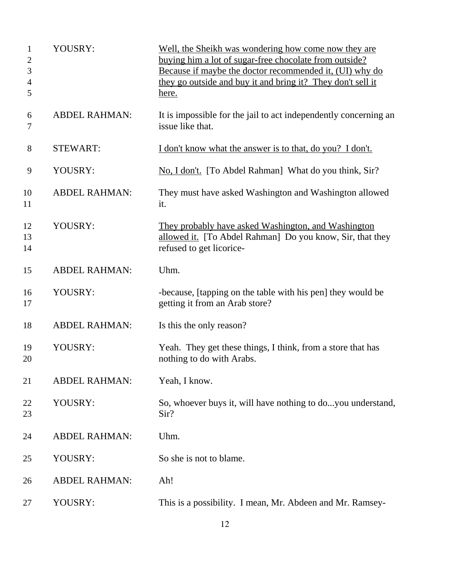| $\mathbf{1}$<br>$\overline{2}$<br>3<br>$\overline{4}$<br>5 | YOUSRY:              | Well, the Sheikh was wondering how come now they are<br>buying him a lot of sugar-free chocolate from outside?<br>Because if maybe the doctor recommended it, (UI) why do<br>they go outside and buy it and bring it? They don't sell it<br>here. |
|------------------------------------------------------------|----------------------|---------------------------------------------------------------------------------------------------------------------------------------------------------------------------------------------------------------------------------------------------|
| 6<br>7                                                     | <b>ABDEL RAHMAN:</b> | It is impossible for the jail to act independently concerning an<br>issue like that.                                                                                                                                                              |
| 8                                                          | <b>STEWART:</b>      | I don't know what the answer is to that, do you? I don't.                                                                                                                                                                                         |
| 9                                                          | YOUSRY:              | No, I don't. [To Abdel Rahman] What do you think, Sir?                                                                                                                                                                                            |
| 10<br>11                                                   | <b>ABDEL RAHMAN:</b> | They must have asked Washington and Washington allowed<br>it.                                                                                                                                                                                     |
| 12<br>13<br>14                                             | YOUSRY:              | They probably have asked Washington, and Washington<br>allowed it. [To Abdel Rahman] Do you know, Sir, that they<br>refused to get licorice-                                                                                                      |
| 15                                                         | <b>ABDEL RAHMAN:</b> | Uhm.                                                                                                                                                                                                                                              |
| 16<br>17                                                   | YOUSRY:              | -because, [tapping on the table with his pen] they would be<br>getting it from an Arab store?                                                                                                                                                     |
| 18                                                         | <b>ABDEL RAHMAN:</b> | Is this the only reason?                                                                                                                                                                                                                          |
| 19<br>20                                                   | YOUSRY:              | Yeah. They get these things, I think, from a store that has<br>nothing to do with Arabs.                                                                                                                                                          |
| 21                                                         | <b>ABDEL RAHMAN:</b> | Yeah, I know.                                                                                                                                                                                                                                     |
| 22<br>23                                                   | YOUSRY:              | So, whoever buys it, will have nothing to doyou understand,<br>Sir?                                                                                                                                                                               |
| 24                                                         | <b>ABDEL RAHMAN:</b> | Uhm.                                                                                                                                                                                                                                              |
| 25                                                         | YOUSRY:              | So she is not to blame.                                                                                                                                                                                                                           |
| 26                                                         | <b>ABDEL RAHMAN:</b> | Ah!                                                                                                                                                                                                                                               |
| 27                                                         | YOUSRY:              | This is a possibility. I mean, Mr. Abdeen and Mr. Ramsey-                                                                                                                                                                                         |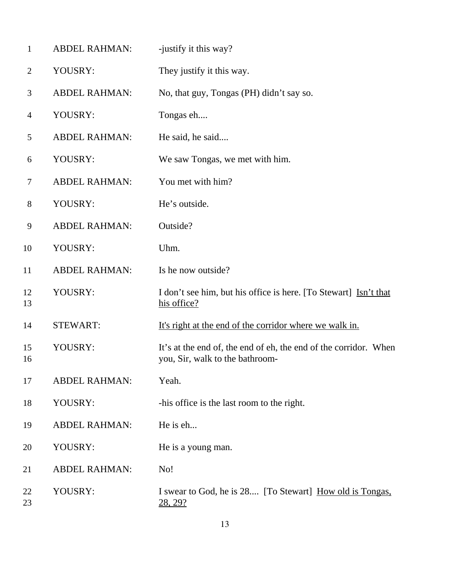| $\mathbf{1}$   | <b>ABDEL RAHMAN:</b> | -justify it this way?                                                                               |
|----------------|----------------------|-----------------------------------------------------------------------------------------------------|
| $\overline{2}$ | YOUSRY:              | They justify it this way.                                                                           |
| 3              | <b>ABDEL RAHMAN:</b> | No, that guy, Tongas (PH) didn't say so.                                                            |
| 4              | YOUSRY:              | Tongas eh                                                                                           |
| 5              | <b>ABDEL RAHMAN:</b> | He said, he said                                                                                    |
| 6              | YOUSRY:              | We saw Tongas, we met with him.                                                                     |
| 7              | <b>ABDEL RAHMAN:</b> | You met with him?                                                                                   |
| 8              | YOUSRY:              | He's outside.                                                                                       |
| 9              | <b>ABDEL RAHMAN:</b> | Outside?                                                                                            |
| 10             | YOUSRY:              | Uhm.                                                                                                |
| 11             | <b>ABDEL RAHMAN:</b> | Is he now outside?                                                                                  |
| 12<br>13       | YOUSRY:              | I don't see him, but his office is here. [To Stewart] Isn't that<br>his office?                     |
| 14             | <b>STEWART:</b>      | It's right at the end of the corridor where we walk in.                                             |
| 15<br>16       | YOUSRY:              | It's at the end of, the end of eh, the end of the corridor. When<br>you, Sir, walk to the bathroom- |
| 17             | <b>ABDEL RAHMAN:</b> | Yeah.                                                                                               |
| 18             | YOUSRY:              | -his office is the last room to the right.                                                          |
| 19             | <b>ABDEL RAHMAN:</b> | He is eh                                                                                            |
| 20             | YOUSRY:              | He is a young man.                                                                                  |
| 21             | <b>ABDEL RAHMAN:</b> | No!                                                                                                 |
| 22<br>23       | YOUSRY:              | I swear to God, he is 28 [To Stewart] How old is Tongas,<br><u>28, 29?</u>                          |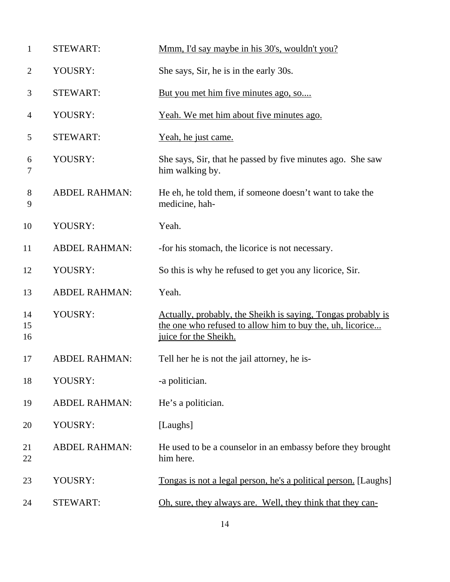| $\mathbf{1}$        | <b>STEWART:</b>      | Mmm, I'd say maybe in his 30's, wouldn't you?                                                                                                      |
|---------------------|----------------------|----------------------------------------------------------------------------------------------------------------------------------------------------|
| $\overline{2}$      | YOUSRY:              | She says, Sir, he is in the early 30s.                                                                                                             |
| 3                   | <b>STEWART:</b>      | But you met him five minutes ago, so                                                                                                               |
| 4                   | YOUSRY:              | Yeah. We met him about five minutes ago.                                                                                                           |
| 5                   | <b>STEWART:</b>      | Yeah, he just came.                                                                                                                                |
| 6<br>7              | YOUSRY:              | She says, Sir, that he passed by five minutes ago. She saw<br>him walking by.                                                                      |
| $8\phantom{1}$<br>9 | <b>ABDEL RAHMAN:</b> | He eh, he told them, if someone doesn't want to take the<br>medicine, hah-                                                                         |
| 10                  | YOUSRY:              | Yeah.                                                                                                                                              |
| 11                  | <b>ABDEL RAHMAN:</b> | -for his stomach, the licorice is not necessary.                                                                                                   |
| 12                  | YOUSRY:              | So this is why he refused to get you any licorice, Sir.                                                                                            |
| 13                  | <b>ABDEL RAHMAN:</b> | Yeah.                                                                                                                                              |
| 14<br>15<br>16      | YOUSRY:              | Actually, probably, the Sheikh is saying, Tongas probably is<br>the one who refused to allow him to buy the, uh, licorice<br>juice for the Sheikh. |
| 17                  | <b>ABDEL RAHMAN:</b> | Tell her he is not the jail attorney, he is-                                                                                                       |
| 18                  | YOUSRY:              | -a politician.                                                                                                                                     |
| 19                  | <b>ABDEL RAHMAN:</b> | He's a politician.                                                                                                                                 |
| 20                  | YOUSRY:              | [Laughs]                                                                                                                                           |
| 21<br>22            | <b>ABDEL RAHMAN:</b> | He used to be a counselor in an embassy before they brought<br>him here.                                                                           |
| 23                  | YOUSRY:              | Tongas is not a legal person, he's a political person. [Laughs]                                                                                    |
| 24                  | <b>STEWART:</b>      | Oh, sure, they always are. Well, they think that they can-                                                                                         |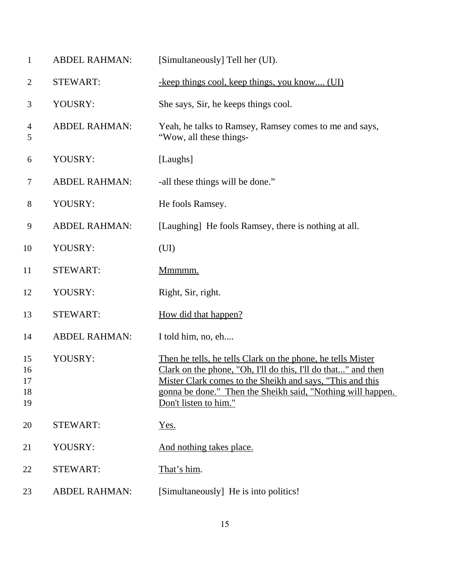| $\mathbf{1}$               | <b>ABDEL RAHMAN:</b> | [Simultaneously] Tell her (UI).                                                                                                                                                                                                                                                   |
|----------------------------|----------------------|-----------------------------------------------------------------------------------------------------------------------------------------------------------------------------------------------------------------------------------------------------------------------------------|
| $\overline{2}$             | <b>STEWART:</b>      | -keep things cool, keep things, you know (UI)                                                                                                                                                                                                                                     |
| 3                          | YOUSRY:              | She says, Sir, he keeps things cool.                                                                                                                                                                                                                                              |
| 4<br>5                     | <b>ABDEL RAHMAN:</b> | Yeah, he talks to Ramsey, Ramsey comes to me and says,<br>"Wow, all these things-                                                                                                                                                                                                 |
| 6                          | YOUSRY:              | [Laughs]                                                                                                                                                                                                                                                                          |
| 7                          | <b>ABDEL RAHMAN:</b> | -all these things will be done."                                                                                                                                                                                                                                                  |
| 8                          | YOUSRY:              | He fools Ramsey.                                                                                                                                                                                                                                                                  |
| 9                          | <b>ABDEL RAHMAN:</b> | [Laughing] He fools Ramsey, there is nothing at all.                                                                                                                                                                                                                              |
| 10                         | YOUSRY:              | (UI)                                                                                                                                                                                                                                                                              |
| 11                         | <b>STEWART:</b>      | Mmmmm.                                                                                                                                                                                                                                                                            |
| 12                         | YOUSRY:              | Right, Sir, right.                                                                                                                                                                                                                                                                |
| 13                         | <b>STEWART:</b>      | How did that happen?                                                                                                                                                                                                                                                              |
| 14                         | <b>ABDEL RAHMAN:</b> | I told him, no, eh                                                                                                                                                                                                                                                                |
| 15<br>16<br>17<br>18<br>19 | YOUSRY:              | Then he tells, he tells Clark on the phone, he tells Mister<br>Clark on the phone, "Oh, I'll do this, I'll do that" and then<br>Mister Clark comes to the Sheikh and says, "This and this<br>gonna be done." Then the Sheikh said, "Nothing will happen.<br>Don't listen to him." |
| 20                         | <b>STEWART:</b>      | Yes.                                                                                                                                                                                                                                                                              |
| 21                         | YOUSRY:              | And nothing takes place.                                                                                                                                                                                                                                                          |
| 22                         | <b>STEWART:</b>      | That's him.                                                                                                                                                                                                                                                                       |
| 23                         | <b>ABDEL RAHMAN:</b> | [Simultaneously] He is into politics!                                                                                                                                                                                                                                             |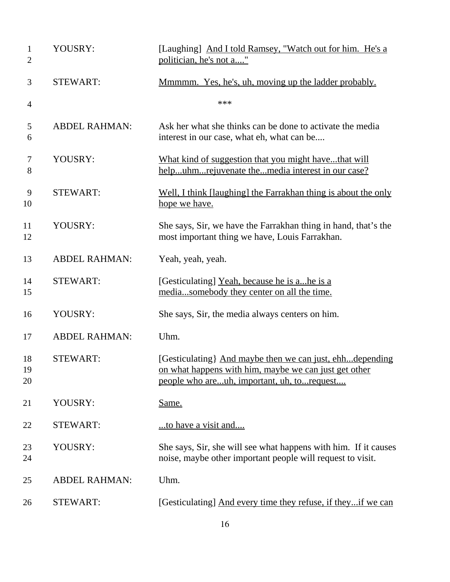| $\mathbf{1}$<br>$\mathbf{2}$ | YOUSRY:              | [Laughing] And I told Ramsey, "Watch out for him. He's a<br>politician, he's not a"                                                                              |
|------------------------------|----------------------|------------------------------------------------------------------------------------------------------------------------------------------------------------------|
| 3                            | <b>STEWART:</b>      | Mmmmm. Yes, he's, uh, moving up the ladder probably.                                                                                                             |
| $\overline{4}$               |                      | ***                                                                                                                                                              |
| 5<br>6                       | <b>ABDEL RAHMAN:</b> | Ask her what she thinks can be done to activate the media<br>interest in our case, what eh, what can be                                                          |
| 7<br>8                       | YOUSRY:              | What kind of suggestion that you might havethat will<br>helpuhmrejuvenate themedia interest in our case?                                                         |
| 9<br>10                      | <b>STEWART:</b>      | Well, I think [laughing] the Farrakhan thing is about the only<br>hope we have.                                                                                  |
| 11<br>12                     | YOUSRY:              | She says, Sir, we have the Farrakhan thing in hand, that's the<br>most important thing we have, Louis Farrakhan.                                                 |
| 13                           | <b>ABDEL RAHMAN:</b> | Yeah, yeah, yeah.                                                                                                                                                |
| 14<br>15                     | <b>STEWART:</b>      | [Gesticulating] Yeah, because he is ahe is a<br>mediasomebody they center on all the time.                                                                       |
| 16                           | YOUSRY:              | She says, Sir, the media always centers on him.                                                                                                                  |
| 17                           | <b>ABDEL RAHMAN:</b> | Uhm.                                                                                                                                                             |
| 18<br>19<br>20               | <b>STEWART:</b>      | [Gesticulating] And maybe then we can just, ehhdepending<br>on what happens with him, maybe we can just get other<br>people who areuh, important, uh, to request |
| 21                           | YOUSRY:              | Same.                                                                                                                                                            |
| 22                           | <b>STEWART:</b>      | to have a visit and                                                                                                                                              |
| 23<br>24                     | YOUSRY:              | She says, Sir, she will see what happens with him. If it causes<br>noise, maybe other important people will request to visit.                                    |
| 25                           | <b>ABDEL RAHMAN:</b> | Uhm.                                                                                                                                                             |
| 26                           | <b>STEWART:</b>      | [Gesticulating] And every time they refuse, if theyif we can                                                                                                     |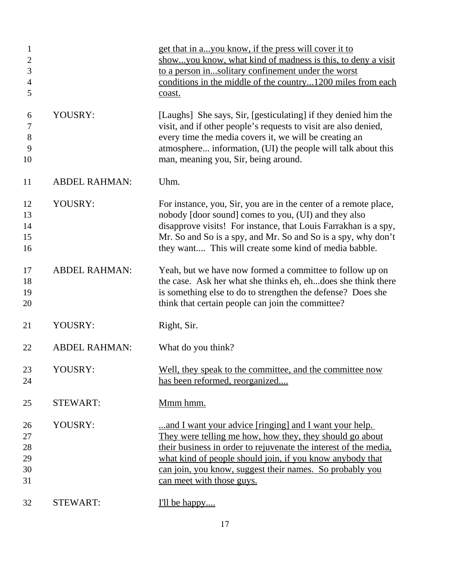| $\mathbf{1}$<br>$\mathbf{2}$<br>3<br>$\overline{4}$<br>5 |                      | get that in ayou know, if the press will cover it to<br>showyou know, what kind of madness is this, to deny a visit<br>to a person insolitary confinement under the worst<br>conditions in the middle of the country1200 miles from each<br>coast.                                                                                           |
|----------------------------------------------------------|----------------------|----------------------------------------------------------------------------------------------------------------------------------------------------------------------------------------------------------------------------------------------------------------------------------------------------------------------------------------------|
| 6<br>$\tau$<br>$8\,$<br>9<br>10                          | YOUSRY:              | [Laughs] She says, Sir, [gesticulating] if they denied him the<br>visit, and if other people's requests to visit are also denied,<br>every time the media covers it, we will be creating an<br>atmosphere information, (UI) the people will talk about this<br>man, meaning you, Sir, being around.                                          |
| 11                                                       | <b>ABDEL RAHMAN:</b> | Uhm.                                                                                                                                                                                                                                                                                                                                         |
| 12<br>13<br>14<br>15<br>16                               | YOUSRY:              | For instance, you, Sir, you are in the center of a remote place,<br>nobody [door sound] comes to you, (UI) and they also<br>disapprove visits! For instance, that Louis Farrakhan is a spy,<br>Mr. So and So is a spy, and Mr. So and So is a spy, why don't<br>they want This will create some kind of media babble.                        |
| 17<br>18<br>19<br>20                                     | <b>ABDEL RAHMAN:</b> | Yeah, but we have now formed a committee to follow up on<br>the case. Ask her what she thinks eh, ehdoes she think there<br>is something else to do to strengthen the defense? Does she<br>think that certain people can join the committee?                                                                                                 |
| 21                                                       | YOUSRY:              | Right, Sir.                                                                                                                                                                                                                                                                                                                                  |
| 22                                                       | <b>ABDEL RAHMAN:</b> | What do you think?                                                                                                                                                                                                                                                                                                                           |
| 23<br>24                                                 | YOUSRY:              | Well, they speak to the committee, and the committee now<br>has been reformed, reorganized                                                                                                                                                                                                                                                   |
| 25                                                       | <b>STEWART:</b>      | Mmm hmm.                                                                                                                                                                                                                                                                                                                                     |
| 26<br>27<br>28<br>29<br>30<br>31                         | YOUSRY:              | and I want your advice [ringing] and I want your help.<br>They were telling me how, how they, they should go about<br>their business in order to rejuvenate the interest of the media,<br>what kind of people should join, if you know anybody that<br>can join, you know, suggest their names. So probably you<br>can meet with those guys. |
| 32                                                       | <b>STEWART:</b>      | I'll be happy                                                                                                                                                                                                                                                                                                                                |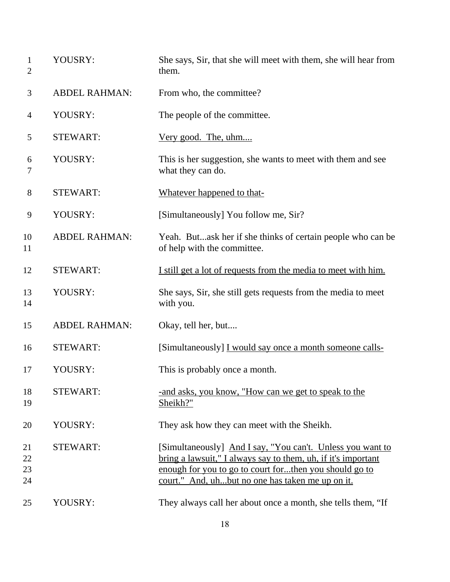| $\mathbf{1}$<br>$\overline{2}$ | YOUSRY:              | She says, Sir, that she will meet with them, she will hear from<br>them.                                                                                                                                                                  |
|--------------------------------|----------------------|-------------------------------------------------------------------------------------------------------------------------------------------------------------------------------------------------------------------------------------------|
| 3                              | <b>ABDEL RAHMAN:</b> | From who, the committee?                                                                                                                                                                                                                  |
| 4                              | YOUSRY:              | The people of the committee.                                                                                                                                                                                                              |
| 5                              | <b>STEWART:</b>      | <u>Very good. The, uhm</u>                                                                                                                                                                                                                |
| 6<br>7                         | YOUSRY:              | This is her suggestion, she wants to meet with them and see<br>what they can do.                                                                                                                                                          |
| 8                              | <b>STEWART:</b>      | Whatever happened to that-                                                                                                                                                                                                                |
| 9                              | YOUSRY:              | [Simultaneously] You follow me, Sir?                                                                                                                                                                                                      |
| 10<br>11                       | <b>ABDEL RAHMAN:</b> | Yeah. Butask her if she thinks of certain people who can be<br>of help with the committee.                                                                                                                                                |
| 12                             | <b>STEWART:</b>      | I still get a lot of requests from the media to meet with him.                                                                                                                                                                            |
| 13<br>14                       | YOUSRY:              | She says, Sir, she still gets requests from the media to meet<br>with you.                                                                                                                                                                |
| 15                             | <b>ABDEL RAHMAN:</b> | Okay, tell her, but                                                                                                                                                                                                                       |
| 16                             | <b>STEWART:</b>      | [Simultaneously] I would say once a month someone calls-                                                                                                                                                                                  |
| 17                             | YOUSRY:              | This is probably once a month.                                                                                                                                                                                                            |
| 18<br>19                       | <b>STEWART:</b>      | -and asks, you know, "How can we get to speak to the<br>Sheikh?"                                                                                                                                                                          |
| 20                             | YOUSRY:              | They ask how they can meet with the Sheikh.                                                                                                                                                                                               |
| 21<br>22<br>23<br>24           | <b>STEWART:</b>      | [Simultaneously] And I say, "You can't. Unless you want to<br>bring a lawsuit," I always say to them, uh, if it's important<br>enough for you to go to court forthen you should go to<br>court." And, uhbut no one has taken me up on it. |
| 25                             | YOUSRY:              | They always call her about once a month, she tells them, "If                                                                                                                                                                              |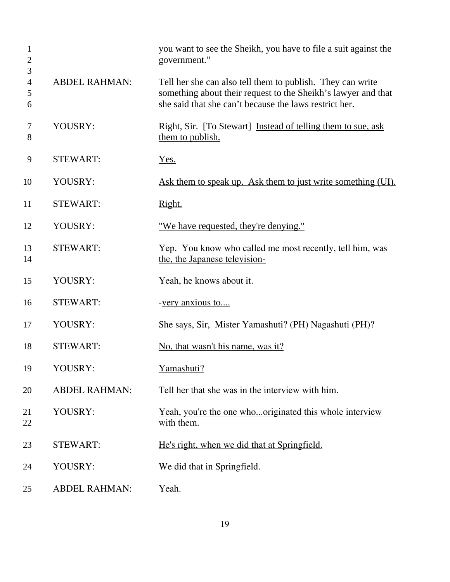| $\mathbf{1}$<br>$\overline{2}$<br>3 |                      | you want to see the Sheikh, you have to file a suit against the<br>government."                                                                                                       |
|-------------------------------------|----------------------|---------------------------------------------------------------------------------------------------------------------------------------------------------------------------------------|
| $\overline{4}$<br>5<br>6            | <b>ABDEL RAHMAN:</b> | Tell her she can also tell them to publish. They can write<br>something about their request to the Sheikh's lawyer and that<br>she said that she can't because the laws restrict her. |
| 7<br>8                              | YOUSRY:              | Right, Sir. [To Stewart] Instead of telling them to sue, ask<br>them to publish.                                                                                                      |
| 9                                   | <b>STEWART:</b>      | Yes.                                                                                                                                                                                  |
| 10                                  | YOUSRY:              | Ask them to speak up. Ask them to just write something (UI).                                                                                                                          |
| 11                                  | <b>STEWART:</b>      | Right.                                                                                                                                                                                |
| 12                                  | YOUSRY:              | <u>"We have requested, they're denying."</u>                                                                                                                                          |
| 13<br>14                            | <b>STEWART:</b>      | Yep. You know who called me most recently, tell him, was<br>the, the Japanese television-                                                                                             |
| 15                                  | YOUSRY:              | Yeah, he knows about it.                                                                                                                                                              |
| 16                                  | <b>STEWART:</b>      | -very anxious to                                                                                                                                                                      |
| 17                                  | YOUSRY:              | She says, Sir, Mister Yamashuti? (PH) Nagashuti (PH)?                                                                                                                                 |
| 18                                  | <b>STEWART:</b>      | No, that wasn't his name, was it?                                                                                                                                                     |
| 19                                  | YOUSRY:              | Yamashuti?                                                                                                                                                                            |
| 20                                  | <b>ABDEL RAHMAN:</b> | Tell her that she was in the interview with him.                                                                                                                                      |
| 21<br>22                            | YOUSRY:              | Yeah, you're the one whooriginated this whole interview<br>with them.                                                                                                                 |
| 23                                  | <b>STEWART:</b>      | He's right, when we did that at Springfield.                                                                                                                                          |
| 24                                  | YOUSRY:              | We did that in Springfield.                                                                                                                                                           |
| 25                                  | <b>ABDEL RAHMAN:</b> | Yeah.                                                                                                                                                                                 |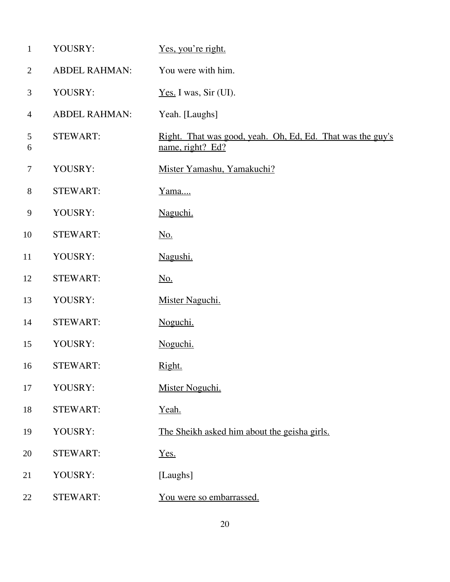| $\mathbf{1}$   | YOUSRY:              | Yes, you're right.                                                             |
|----------------|----------------------|--------------------------------------------------------------------------------|
| $\overline{2}$ | <b>ABDEL RAHMAN:</b> | You were with him.                                                             |
| 3              | YOUSRY:              | Yes. I was, Sir (UI).                                                          |
| $\overline{4}$ | <b>ABDEL RAHMAN:</b> | Yeah. [Laughs]                                                                 |
| 5<br>6         | <b>STEWART:</b>      | Right. That was good, yeah. Oh, Ed, Ed. That was the guy's<br>name, right? Ed? |
| $\tau$         | YOUSRY:              | Mister Yamashu, Yamakuchi?                                                     |
| $8\phantom{1}$ | <b>STEWART:</b>      | Yama                                                                           |
| 9              | YOUSRY:              | Naguchi.                                                                       |
| 10             | <b>STEWART:</b>      | <u>No.</u>                                                                     |
| 11             | YOUSRY:              | Nagushi.                                                                       |
| 12             | <b>STEWART:</b>      | <u>No.</u>                                                                     |
| 13             | YOUSRY:              | Mister Naguchi.                                                                |
| 14             | <b>STEWART:</b>      | Noguchi.                                                                       |
| 15             | YOUSRY:              | Noguchi.                                                                       |
| 16             | <b>STEWART:</b>      | Right.                                                                         |
| 17             | YOUSRY:              | Mister Noguchi.                                                                |
| 18             | <b>STEWART:</b>      | Yeah.                                                                          |
| 19             | YOUSRY:              | The Sheikh asked him about the geisha girls.                                   |
| 20             | <b>STEWART:</b>      | Yes.                                                                           |
| 21             | YOUSRY:              | [Laughs]                                                                       |
| 22             | <b>STEWART:</b>      | You were so embarrassed.                                                       |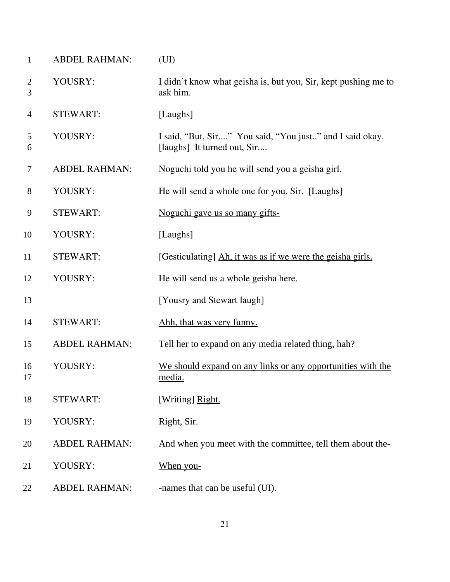| $\mathbf{1}$        | <b>ABDEL RAHMAN:</b> | (UI)                                                                                    |
|---------------------|----------------------|-----------------------------------------------------------------------------------------|
| $\overline{2}$<br>3 | YOUSRY:              | I didn't know what geisha is, but you, Sir, kept pushing me to<br>ask him.              |
| $\overline{4}$      | <b>STEWART:</b>      | [Laughs]                                                                                |
| 5<br>6              | YOUSRY:              | I said, "But, Sir" You said, "You just" and I said okay.<br>[laughs] It turned out, Sir |
| 7                   | <b>ABDEL RAHMAN:</b> | Noguchi told you he will send you a geisha girl.                                        |
| 8                   | YOUSRY:              | He will send a whole one for you, Sir. [Laughs]                                         |
| 9                   | <b>STEWART:</b>      | Noguchi gave us so many gifts-                                                          |
| 10                  | YOUSRY:              | [Laughs]                                                                                |
| 11                  | <b>STEWART:</b>      | [Gesticulating] Ah, it was as if we were the geisha girls.                              |
| 12                  | YOUSRY:              | He will send us a whole geisha here.                                                    |
| 13                  |                      | [Yousry and Stewart laugh]                                                              |
| 14                  | <b>STEWART:</b>      | Ahh, that was very funny.                                                               |
| 15                  | <b>ABDEL RAHMAN:</b> | Tell her to expand on any media related thing, hah?                                     |
| 16<br>17            | YOUSRY:              | We should expand on any links or any opportunities with the<br>media.                   |
| 18                  | <b>STEWART:</b>      | [Writing] Right.                                                                        |
| 19                  | YOUSRY:              | Right, Sir.                                                                             |
| 20                  | <b>ABDEL RAHMAN:</b> | And when you meet with the committee, tell them about the-                              |
| 21                  | YOUSRY:              | When you-                                                                               |
| 22                  | <b>ABDEL RAHMAN:</b> | -names that can be useful (UI).                                                         |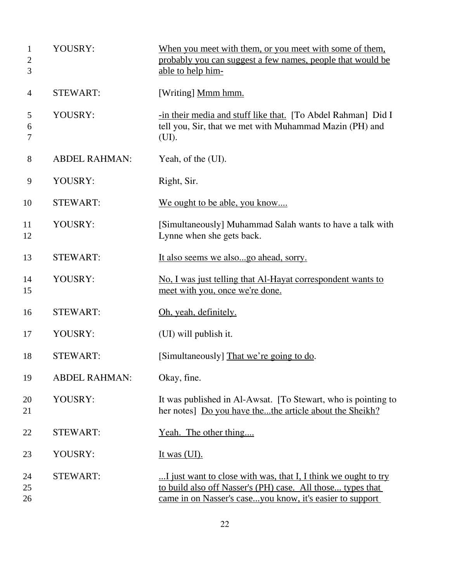| 1<br>2<br>3    | YOUSRY:              | When you meet with them, or you meet with some of them,<br>probably you can suggest a few names, people that would be<br>able to help him-                                               |
|----------------|----------------------|------------------------------------------------------------------------------------------------------------------------------------------------------------------------------------------|
| 4              | <b>STEWART:</b>      | [Writing] Mmm hmm.                                                                                                                                                                       |
| 5<br>6<br>7    | YOUSRY:              | -in their media and stuff like that. [To Abdel Rahman] Did I<br>tell you, Sir, that we met with Muhammad Mazin (PH) and<br>(UI).                                                         |
| 8              | <b>ABDEL RAHMAN:</b> | Yeah, of the (UI).                                                                                                                                                                       |
| 9              | YOUSRY:              | Right, Sir.                                                                                                                                                                              |
| 10             | <b>STEWART:</b>      | We ought to be able, you know                                                                                                                                                            |
| 11<br>12       | YOUSRY:              | [Simultaneously] Muhammad Salah wants to have a talk with<br>Lynne when she gets back.                                                                                                   |
| 13             | <b>STEWART:</b>      | It also seems we alsogo ahead, sorry.                                                                                                                                                    |
| 14<br>15       | YOUSRY:              | No, I was just telling that Al-Hayat correspondent wants to<br>meet with you, once we're done.                                                                                           |
| 16             | <b>STEWART:</b>      | Oh, yeah, definitely.                                                                                                                                                                    |
| 17             | YOUSRY:              | (UI) will publish it.                                                                                                                                                                    |
| 18             | <b>STEWART:</b>      | [Simultaneously] That we're going to do.                                                                                                                                                 |
| 19             | <b>ABDEL RAHMAN:</b> | Okay, fine.                                                                                                                                                                              |
| 20<br>21       | YOUSRY:              | It was published in Al-Awsat. [To Stewart, who is pointing to<br>her notes] Do you have thethe article about the Sheikh?                                                                 |
| 22             | <b>STEWART:</b>      | Yeah. The other thing                                                                                                                                                                    |
| 23             | YOUSRY:              | It was $(UI)$ .                                                                                                                                                                          |
| 24<br>25<br>26 | <b>STEWART:</b>      | I just want to close with was, that I, I think we ought to try<br>to build also off Nasser's (PH) case. All those types that<br>came in on Nasser's caseyou know, it's easier to support |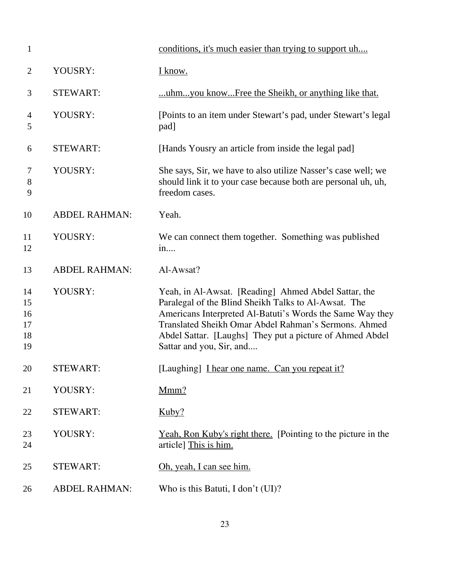| $\mathbf{1}$                     |                      | conditions, it's much easier than trying to support uh                                                                                                                                                                                                                                                                    |
|----------------------------------|----------------------|---------------------------------------------------------------------------------------------------------------------------------------------------------------------------------------------------------------------------------------------------------------------------------------------------------------------------|
| $\overline{2}$                   | YOUSRY:              | I know.                                                                                                                                                                                                                                                                                                                   |
| 3                                | <b>STEWART:</b>      | uhmyou knowFree the Sheikh, or anything like that.                                                                                                                                                                                                                                                                        |
| $\overline{4}$<br>5              | YOUSRY:              | [Points to an item under Stewart's pad, under Stewart's legal<br>pad]                                                                                                                                                                                                                                                     |
| 6                                | <b>STEWART:</b>      | [Hands Yousry an article from inside the legal pad]                                                                                                                                                                                                                                                                       |
| 7<br>8<br>9                      | YOUSRY:              | She says, Sir, we have to also utilize Nasser's case well; we<br>should link it to your case because both are personal uh, uh,<br>freedom cases.                                                                                                                                                                          |
| 10                               | <b>ABDEL RAHMAN:</b> | Yeah.                                                                                                                                                                                                                                                                                                                     |
| 11<br>12                         | YOUSRY:              | We can connect them together. Something was published<br>in                                                                                                                                                                                                                                                               |
| 13                               | <b>ABDEL RAHMAN:</b> | Al-Awsat?                                                                                                                                                                                                                                                                                                                 |
| 14<br>15<br>16<br>17<br>18<br>19 | YOUSRY:              | Yeah, in Al-Awsat. [Reading] Ahmed Abdel Sattar, the<br>Paralegal of the Blind Sheikh Talks to Al-Awsat. The<br>Americans Interpreted Al-Batuti's Words the Same Way they<br>Translated Sheikh Omar Abdel Rahman's Sermons. Ahmed<br>Abdel Sattar. [Laughs] They put a picture of Ahmed Abdel<br>Sattar and you, Sir, and |
| 20                               | STEWART:             | [Laughing] <i>I hear one name. Can you repeat it?</i>                                                                                                                                                                                                                                                                     |
| 21                               | YOUSRY:              | Mmm?                                                                                                                                                                                                                                                                                                                      |
| 22                               | <b>STEWART:</b>      | Kuby?                                                                                                                                                                                                                                                                                                                     |
| 23<br>24                         | YOUSRY:              | <u>Yeah, Ron Kuby's right there.</u> [Pointing to the picture in the<br>article] This is him.                                                                                                                                                                                                                             |
| 25                               | <b>STEWART:</b>      | Oh, yeah, I can see him.                                                                                                                                                                                                                                                                                                  |
| 26                               | <b>ABDEL RAHMAN:</b> | Who is this Batuti, I don't (UI)?                                                                                                                                                                                                                                                                                         |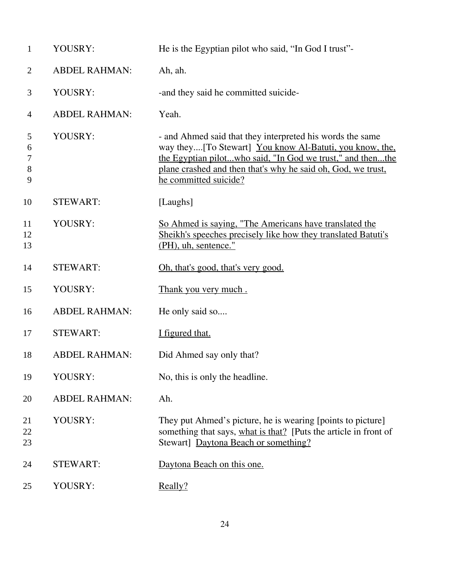| $\mathbf{1}$              | YOUSRY:              | He is the Egyptian pilot who said, "In God I trust"-                                                                                                                                                                                                                        |
|---------------------------|----------------------|-----------------------------------------------------------------------------------------------------------------------------------------------------------------------------------------------------------------------------------------------------------------------------|
| 2                         | <b>ABDEL RAHMAN:</b> | Ah, ah.                                                                                                                                                                                                                                                                     |
| 3                         | YOUSRY:              | -and they said he committed suicide-                                                                                                                                                                                                                                        |
| $\overline{4}$            | <b>ABDEL RAHMAN:</b> | Yeah.                                                                                                                                                                                                                                                                       |
| 5<br>6<br>7<br>$8\,$<br>9 | YOUSRY:              | - and Ahmed said that they interpreted his words the same<br>way they[To Stewart] You know Al-Batuti, you know, the,<br>the Egyptian pilotwho said, "In God we trust," and thenthe<br>plane crashed and then that's why he said oh, God, we trust,<br>he committed suicide? |
| 10                        | <b>STEWART:</b>      | [Laughs]                                                                                                                                                                                                                                                                    |
| 11<br>12<br>13            | YOUSRY:              | So Ahmed is saying, "The Americans have translated the<br>Sheikh's speeches precisely like how they translated Batuti's<br>(PH), uh, sentence."                                                                                                                             |
| 14                        | <b>STEWART:</b>      | Oh, that's good, that's very good.                                                                                                                                                                                                                                          |
| 15                        | YOUSRY:              | Thank you very much.                                                                                                                                                                                                                                                        |
| 16                        | <b>ABDEL RAHMAN:</b> | He only said so                                                                                                                                                                                                                                                             |
| 17                        | <b>STEWART:</b>      | I figured that.                                                                                                                                                                                                                                                             |
| 18                        | <b>ABDEL RAHMAN:</b> | Did Ahmed say only that?                                                                                                                                                                                                                                                    |
| 19                        | YOUSRY:              | No, this is only the headline.                                                                                                                                                                                                                                              |
| 20                        | <b>ABDEL RAHMAN:</b> | Ah.                                                                                                                                                                                                                                                                         |
| 21<br>22<br>23            | YOUSRY:              | They put Ahmed's picture, he is wearing [points to picture]<br>something that says, what is that? [Puts the article in front of<br>Stewart] Daytona Beach or something?                                                                                                     |
| 24                        | <b>STEWART:</b>      | Daytona Beach on this one.                                                                                                                                                                                                                                                  |
| 25                        | YOUSRY:              | Really?                                                                                                                                                                                                                                                                     |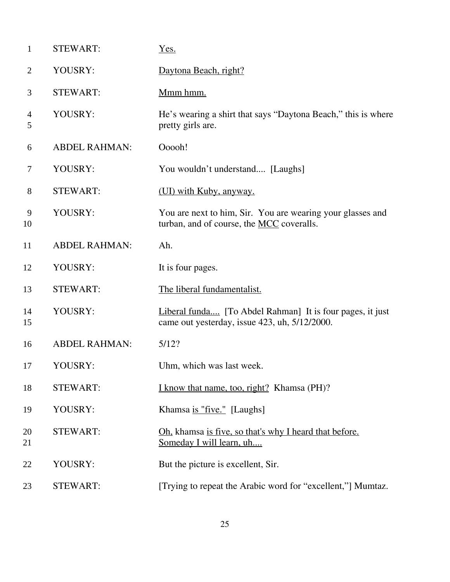| $\mathbf{1}$ | <b>STEWART:</b>      | Yes.                                                                                                       |
|--------------|----------------------|------------------------------------------------------------------------------------------------------------|
| 2            | YOUSRY:              | Daytona Beach, right?                                                                                      |
| 3            | <b>STEWART:</b>      | Mmm hmm.                                                                                                   |
| 4<br>5       | YOUSRY:              | He's wearing a shirt that says "Daytona Beach," this is where<br>pretty girls are.                         |
| 6            | <b>ABDEL RAHMAN:</b> | Ooooh!                                                                                                     |
| $\tau$       | YOUSRY:              | You wouldn't understand [Laughs]                                                                           |
| 8            | <b>STEWART:</b>      | (UI) with Kuby, anyway.                                                                                    |
| 9<br>10      | YOUSRY:              | You are next to him, Sir. You are wearing your glasses and<br>turban, and of course, the MCC coveralls.    |
| 11           | <b>ABDEL RAHMAN:</b> | Ah.                                                                                                        |
| 12           | YOUSRY:              | It is four pages.                                                                                          |
| 13           | <b>STEWART:</b>      | The liberal fundamentalist.                                                                                |
| 14<br>15     | YOUSRY:              | Liberal funda [To Abdel Rahman] It is four pages, it just<br>came out yesterday, issue 423, uh, 5/12/2000. |
| 16           | <b>ABDEL RAHMAN:</b> | 5/12?                                                                                                      |
| 17           | YOUSRY:              | Uhm, which was last week.                                                                                  |
| 18           | <b>STEWART:</b>      | I know that name, too, right? Khamsa (PH)?                                                                 |
| 19           | YOUSRY:              | Khamsa is "five." [Laughs]                                                                                 |
| 20<br>21     | <b>STEWART:</b>      | Oh, khamsa is five, so that's why I heard that before.<br>Someday I will learn, uh                         |
| 22           | YOUSRY:              | But the picture is excellent, Sir.                                                                         |
| 23           | <b>STEWART:</b>      | [Trying to repeat the Arabic word for "excellent,"] Mumtaz.                                                |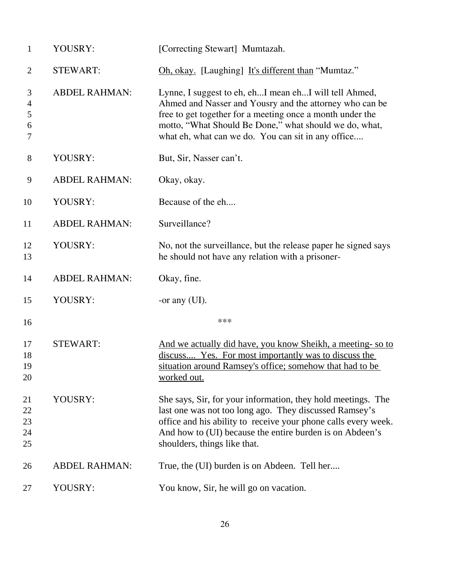| $\mathbf{1}$               | YOUSRY:              | [Correcting Stewart] Mumtazah.                                                                                                                                                                                                                                                                |
|----------------------------|----------------------|-----------------------------------------------------------------------------------------------------------------------------------------------------------------------------------------------------------------------------------------------------------------------------------------------|
| $\overline{2}$             | <b>STEWART:</b>      | Oh, okay. [Laughing] It's different than "Mumtaz."                                                                                                                                                                                                                                            |
| 3<br>4<br>5<br>6<br>$\tau$ | <b>ABDEL RAHMAN:</b> | Lynne, I suggest to eh, ehI mean ehI will tell Ahmed,<br>Ahmed and Nasser and Yousry and the attorney who can be<br>free to get together for a meeting once a month under the<br>motto, "What Should Be Done," what should we do, what,<br>what eh, what can we do. You can sit in any office |
| $8\,$                      | YOUSRY:              | But, Sir, Nasser can't.                                                                                                                                                                                                                                                                       |
| 9                          | <b>ABDEL RAHMAN:</b> | Okay, okay.                                                                                                                                                                                                                                                                                   |
| 10                         | YOUSRY:              | Because of the eh                                                                                                                                                                                                                                                                             |
| 11                         | <b>ABDEL RAHMAN:</b> | Surveillance?                                                                                                                                                                                                                                                                                 |
| 12<br>13                   | YOUSRY:              | No, not the surveillance, but the release paper he signed says<br>he should not have any relation with a prisoner-                                                                                                                                                                            |
| 14                         | <b>ABDEL RAHMAN:</b> | Okay, fine.                                                                                                                                                                                                                                                                                   |
| 15                         | YOUSRY:              | -or any $(UI)$ .                                                                                                                                                                                                                                                                              |
| 16                         |                      | ***                                                                                                                                                                                                                                                                                           |
| 17<br>18<br>19<br>20       | <b>STEWART:</b>      | And we actually did have, you know Sheikh, a meeting- so to<br>discuss Yes. For most importantly was to discuss the<br>situation around Ramsey's office; somehow that had to be<br>worked out.                                                                                                |
| 21<br>22<br>23<br>24<br>25 | YOUSRY:              | She says, Sir, for your information, they hold meetings. The<br>last one was not too long ago. They discussed Ramsey's<br>office and his ability to receive your phone calls every week.<br>And how to (UI) because the entire burden is on Abdeen's<br>shoulders, things like that.          |
| 26                         | <b>ABDEL RAHMAN:</b> | True, the (UI) burden is on Abdeen. Tell her                                                                                                                                                                                                                                                  |
| 27                         | YOUSRY:              | You know, Sir, he will go on vacation.                                                                                                                                                                                                                                                        |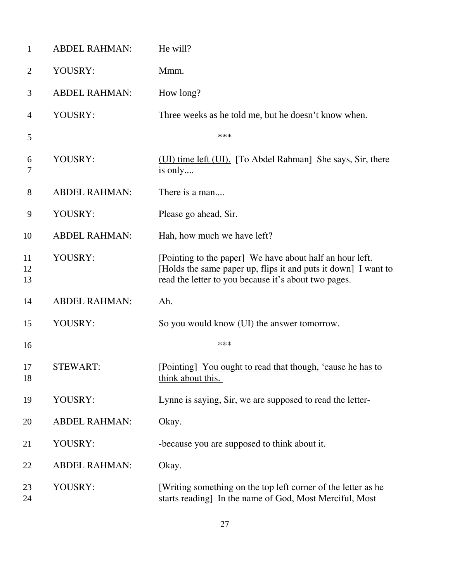| $\mathbf{1}$   | <b>ABDEL RAHMAN:</b> | He will?                                                                                                                                                                           |
|----------------|----------------------|------------------------------------------------------------------------------------------------------------------------------------------------------------------------------------|
| $\overline{2}$ | YOUSRY:              | Mmm.                                                                                                                                                                               |
| 3              | <b>ABDEL RAHMAN:</b> | How long?                                                                                                                                                                          |
| $\overline{4}$ | YOUSRY:              | Three weeks as he told me, but he doesn't know when.                                                                                                                               |
| 5              |                      | ***                                                                                                                                                                                |
| 6<br>7         | YOUSRY:              | (UI) time left (UI). [To Abdel Rahman] She says, Sir, there<br>is only                                                                                                             |
| $8\,$          | <b>ABDEL RAHMAN:</b> | There is a man                                                                                                                                                                     |
| 9              | YOUSRY:              | Please go ahead, Sir.                                                                                                                                                              |
| 10             | <b>ABDEL RAHMAN:</b> | Hah, how much we have left?                                                                                                                                                        |
| 11<br>12<br>13 | YOUSRY:              | [Pointing to the paper] We have about half an hour left.<br>[Holds the same paper up, flips it and puts it down] I want to<br>read the letter to you because it's about two pages. |
| 14             | <b>ABDEL RAHMAN:</b> | Ah.                                                                                                                                                                                |
| 15             | YOUSRY:              | So you would know (UI) the answer tomorrow.                                                                                                                                        |
| 16             |                      | ***                                                                                                                                                                                |
| 17<br>18       | <b>STEWART:</b>      | [Pointing] You ought to read that though, 'cause he has to<br>think about this.                                                                                                    |
| 19             | YOUSRY:              | Lynne is saying, Sir, we are supposed to read the letter-                                                                                                                          |
| 20             | <b>ABDEL RAHMAN:</b> | Okay.                                                                                                                                                                              |
| 21             | YOUSRY:              | -because you are supposed to think about it.                                                                                                                                       |
| 22             | <b>ABDEL RAHMAN:</b> | Okay.                                                                                                                                                                              |
| 23<br>24       | YOUSRY:              | [Writing something on the top left corner of the letter as he<br>starts reading] In the name of God, Most Merciful, Most                                                           |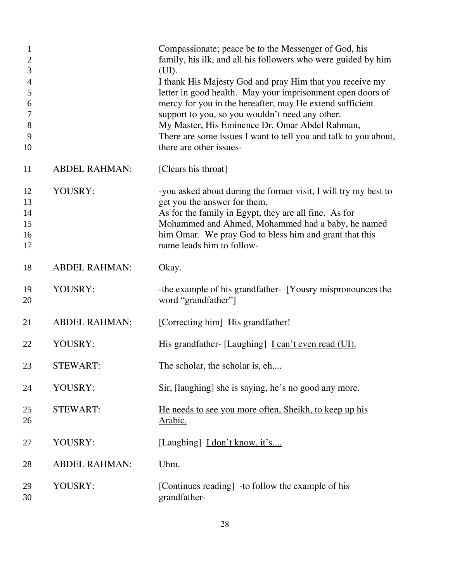| 1<br>$\mathbf{2}$<br>3<br>$\overline{4}$<br>5<br>6<br>7<br>8<br>9<br>10 |                      | Compassionate; peace be to the Messenger of God, his<br>family, his ilk, and all his followers who were guided by him<br>(UI).<br>I thank His Majesty God and pray Him that you receive my<br>letter in good health. May your imprisonment open doors of<br>mercy for you in the hereafter, may He extend sufficient<br>support to you, so you wouldn't need any other.<br>My Master, His Eminence Dr. Omar Abdel Rahman,<br>There are some issues I want to tell you and talk to you about,<br>there are other issues- |
|-------------------------------------------------------------------------|----------------------|-------------------------------------------------------------------------------------------------------------------------------------------------------------------------------------------------------------------------------------------------------------------------------------------------------------------------------------------------------------------------------------------------------------------------------------------------------------------------------------------------------------------------|
| 11                                                                      | <b>ABDEL RAHMAN:</b> | [Clears his throat]                                                                                                                                                                                                                                                                                                                                                                                                                                                                                                     |
| 12<br>13<br>14<br>15<br>16<br>17                                        | YOUSRY:              | -you asked about during the former visit, I will try my best to<br>get you the answer for them.<br>As for the family in Egypt, they are all fine. As for<br>Mohammed and Ahmed, Mohammed had a baby, he named<br>him Omar. We pray God to bless him and grant that this<br>name leads him to follow-                                                                                                                                                                                                                    |
| 18                                                                      | <b>ABDEL RAHMAN:</b> | Okay.                                                                                                                                                                                                                                                                                                                                                                                                                                                                                                                   |
| 19<br>20                                                                | YOUSRY:              | -the example of his grandfather- [Yousry mispronounces the<br>word "grandfather"]                                                                                                                                                                                                                                                                                                                                                                                                                                       |
| 21                                                                      | <b>ABDEL RAHMAN:</b> | [Correcting him] His grandfather!                                                                                                                                                                                                                                                                                                                                                                                                                                                                                       |
| 22                                                                      | YOUSRY:              | His grandfather- [Laughing] <i>L</i> can't even read (UI).                                                                                                                                                                                                                                                                                                                                                                                                                                                              |
| 23                                                                      | <b>STEWART:</b>      | The scholar, the scholar is, eh                                                                                                                                                                                                                                                                                                                                                                                                                                                                                         |
| 24                                                                      | YOUSRY:              | Sir, [laughing] she is saying, he's no good any more.                                                                                                                                                                                                                                                                                                                                                                                                                                                                   |
| 25<br>26                                                                | <b>STEWART:</b>      | He needs to see you more often, Sheikh, to keep up his<br>Arabic.                                                                                                                                                                                                                                                                                                                                                                                                                                                       |
| 27                                                                      | YOUSRY:              | [Laughing] <i>I don't know</i> , it's                                                                                                                                                                                                                                                                                                                                                                                                                                                                                   |
| 28                                                                      | <b>ABDEL RAHMAN:</b> | Uhm.                                                                                                                                                                                                                                                                                                                                                                                                                                                                                                                    |
| 29<br>30                                                                | YOUSRY:              | [Continues reading] -to follow the example of his<br>grandfather-                                                                                                                                                                                                                                                                                                                                                                                                                                                       |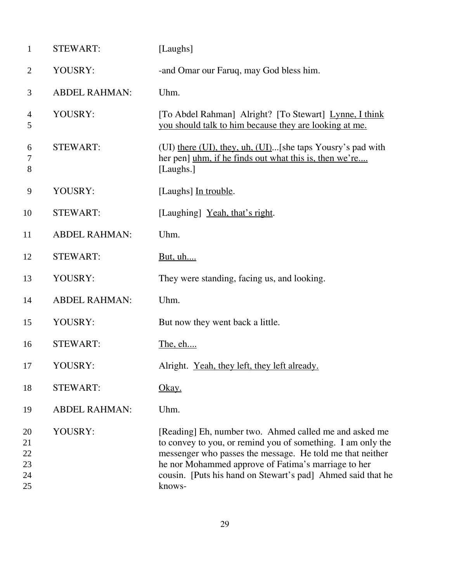| $\mathbf{1}$                     | <b>STEWART:</b>      | [Laughs]                                                                                                                                                                                                                                                                                                           |
|----------------------------------|----------------------|--------------------------------------------------------------------------------------------------------------------------------------------------------------------------------------------------------------------------------------------------------------------------------------------------------------------|
| $\overline{2}$                   | YOUSRY:              | -and Omar our Faruq, may God bless him.                                                                                                                                                                                                                                                                            |
| 3                                | <b>ABDEL RAHMAN:</b> | Uhm.                                                                                                                                                                                                                                                                                                               |
| $\overline{4}$<br>5              | YOUSRY:              | [To Abdel Rahman] Alright? [To Stewart] Lynne, I think<br>you should talk to him because they are looking at me.                                                                                                                                                                                                   |
| 6<br>7<br>8                      | <b>STEWART:</b>      | (UI) there (UI), they, uh, (UI)[she taps Yousry's pad with<br>her pen] uhm, if he finds out what this is, then we're<br>[Laughs.]                                                                                                                                                                                  |
| 9                                | YOUSRY:              | [Laughs] In trouble.                                                                                                                                                                                                                                                                                               |
| 10                               | <b>STEWART:</b>      | [Laughing] Yeah, that's right.                                                                                                                                                                                                                                                                                     |
| 11                               | <b>ABDEL RAHMAN:</b> | Uhm.                                                                                                                                                                                                                                                                                                               |
| 12                               | <b>STEWART:</b>      | <u>But, uh</u>                                                                                                                                                                                                                                                                                                     |
| 13                               | YOUSRY:              | They were standing, facing us, and looking.                                                                                                                                                                                                                                                                        |
| 14                               | <b>ABDEL RAHMAN:</b> | Uhm.                                                                                                                                                                                                                                                                                                               |
| 15                               | YOUSRY:              | But now they went back a little.                                                                                                                                                                                                                                                                                   |
| 16                               | <b>STEWART:</b>      | The, eh                                                                                                                                                                                                                                                                                                            |
| 17                               | YOUSRY:              | Alright. Yeah, they left, they left already.                                                                                                                                                                                                                                                                       |
| 18                               | <b>STEWART:</b>      | <u>Okay.</u>                                                                                                                                                                                                                                                                                                       |
| 19                               | <b>ABDEL RAHMAN:</b> | Uhm.                                                                                                                                                                                                                                                                                                               |
| 20<br>21<br>22<br>23<br>24<br>25 | YOUSRY:              | [Reading] Eh, number two. Ahmed called me and asked me<br>to convey to you, or remind you of something. I am only the<br>messenger who passes the message. He told me that neither<br>he nor Mohammed approve of Fatima's marriage to her<br>cousin. [Puts his hand on Stewart's pad] Ahmed said that he<br>knows- |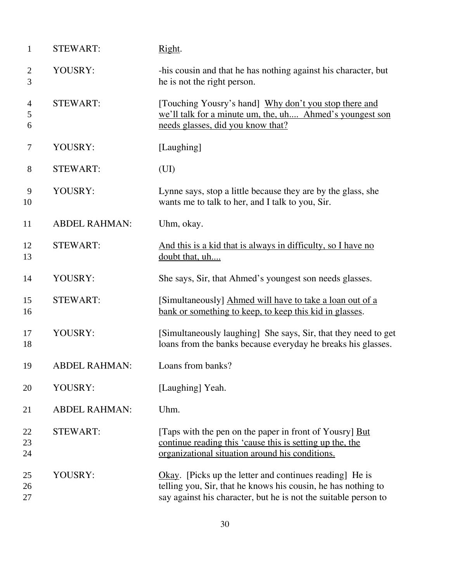| $\mathbf{1}$        | <b>STEWART:</b>      | Right.                                                                                                                                                                                      |
|---------------------|----------------------|---------------------------------------------------------------------------------------------------------------------------------------------------------------------------------------------|
| $\overline{c}$<br>3 | YOUSRY:              | -his cousin and that he has nothing against his character, but<br>he is not the right person.                                                                                               |
| 4<br>5<br>6         | <b>STEWART:</b>      | [Touching Yousry's hand] Why don't you stop there and<br>we'll talk for a minute um, the, uh Ahmed's youngest son<br>needs glasses, did you know that?                                      |
| $\tau$              | YOUSRY:              | [Laughing]                                                                                                                                                                                  |
| 8                   | <b>STEWART:</b>      | (UI)                                                                                                                                                                                        |
| 9<br>10             | YOUSRY:              | Lynne says, stop a little because they are by the glass, she<br>wants me to talk to her, and I talk to you, Sir.                                                                            |
| 11                  | <b>ABDEL RAHMAN:</b> | Uhm, okay.                                                                                                                                                                                  |
| 12<br>13            | <b>STEWART:</b>      | And this is a kid that is always in difficulty, so I have no<br>doubt that, uh                                                                                                              |
| 14                  | YOUSRY:              | She says, Sir, that Ahmed's youngest son needs glasses.                                                                                                                                     |
| 15<br>16            | <b>STEWART:</b>      | [Simultaneously] Ahmed will have to take a loan out of a<br>bank or something to keep, to keep this kid in glasses.                                                                         |
| 17<br>18            | YOUSRY:              | [Simultaneously laughing] She says, Sir, that they need to get<br>loans from the banks because everyday he breaks his glasses.                                                              |
| 19                  | <b>ABDEL RAHMAN:</b> | Loans from banks?                                                                                                                                                                           |
| 20                  | YOUSRY:              | [Laughing] Yeah.                                                                                                                                                                            |
| 21                  | <b>ABDEL RAHMAN:</b> | Uhm.                                                                                                                                                                                        |
| 22<br>23<br>24      | <b>STEWART:</b>      | [Taps with the pen on the paper in front of Yousry] But<br>continue reading this 'cause this is setting up the, the<br>organizational situation around his conditions.                      |
| 25<br>26<br>27      | YOUSRY:              | Okay. [Picks up the letter and continues reading] He is<br>telling you, Sir, that he knows his cousin, he has nothing to<br>say against his character, but he is not the suitable person to |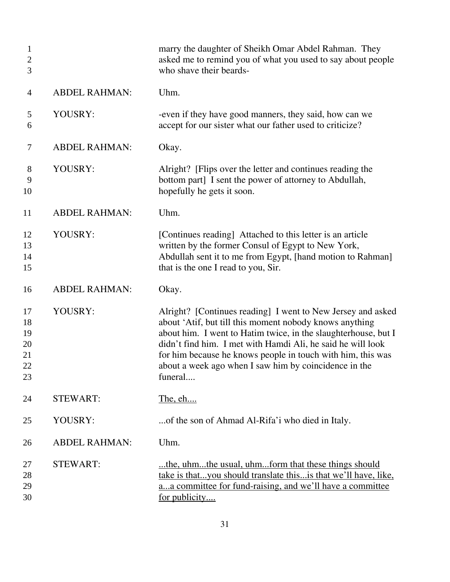| $\mathbf{1}$<br>$\mathbf{2}$<br>3      |                      | marry the daughter of Sheikh Omar Abdel Rahman. They<br>asked me to remind you of what you used to say about people<br>who shave their beards-                                                                                                                                                                                                                                             |
|----------------------------------------|----------------------|--------------------------------------------------------------------------------------------------------------------------------------------------------------------------------------------------------------------------------------------------------------------------------------------------------------------------------------------------------------------------------------------|
| $\overline{4}$                         | <b>ABDEL RAHMAN:</b> | Uhm.                                                                                                                                                                                                                                                                                                                                                                                       |
| 5<br>6                                 | YOUSRY:              | -even if they have good manners, they said, how can we<br>accept for our sister what our father used to criticize?                                                                                                                                                                                                                                                                         |
| 7                                      | <b>ABDEL RAHMAN:</b> | Okay.                                                                                                                                                                                                                                                                                                                                                                                      |
| 8<br>9<br>10                           | YOUSRY:              | Alright? [Flips over the letter and continues reading the<br>bottom part] I sent the power of attorney to Abdullah,<br>hopefully he gets it soon.                                                                                                                                                                                                                                          |
| 11                                     | <b>ABDEL RAHMAN:</b> | Uhm.                                                                                                                                                                                                                                                                                                                                                                                       |
| 12<br>13<br>14<br>15                   | YOUSRY:              | [Continues reading] Attached to this letter is an article<br>written by the former Consul of Egypt to New York,<br>Abdullah sent it to me from Egypt, [hand motion to Rahman]<br>that is the one I read to you, Sir.                                                                                                                                                                       |
| 16                                     | <b>ABDEL RAHMAN:</b> | Okay.                                                                                                                                                                                                                                                                                                                                                                                      |
| 17<br>18<br>19<br>20<br>21<br>22<br>23 | YOUSRY:              | Alright? [Continues reading] I went to New Jersey and asked<br>about 'Atif, but till this moment nobody knows anything<br>about him. I went to Hatim twice, in the slaughterhouse, but I<br>didn't find him. I met with Hamdi Ali, he said he will look<br>for him because he knows people in touch with him, this was<br>about a week ago when I saw him by coincidence in the<br>funeral |
| 24                                     | <b>STEWART:</b>      | The, eh                                                                                                                                                                                                                                                                                                                                                                                    |
| 25                                     | YOUSRY:              | of the son of Ahmad Al-Rifa'i who died in Italy.                                                                                                                                                                                                                                                                                                                                           |
| 26                                     | <b>ABDEL RAHMAN:</b> | Uhm.                                                                                                                                                                                                                                                                                                                                                                                       |
| 27<br>28<br>29<br>30                   | <b>STEWART:</b>      | the, uhmthe usual, uhmform that these things should<br>take is thatyou should translate this is that we'll have, like,<br>aa committee for fund-raising, and we'll have a committee<br>for publicity                                                                                                                                                                                       |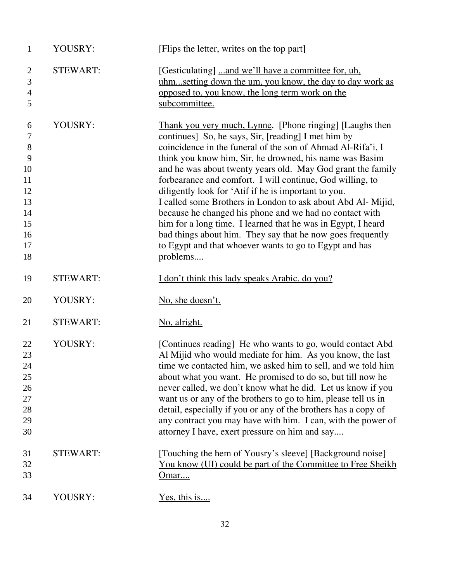| $\mathbf{1}$                                                               | YOUSRY:         | [Flips the letter, writes on the top part]                                                                                                                                                                                                                                                                                                                                                                                                                                                                                                                                                                                                                                                                                                                  |
|----------------------------------------------------------------------------|-----------------|-------------------------------------------------------------------------------------------------------------------------------------------------------------------------------------------------------------------------------------------------------------------------------------------------------------------------------------------------------------------------------------------------------------------------------------------------------------------------------------------------------------------------------------------------------------------------------------------------------------------------------------------------------------------------------------------------------------------------------------------------------------|
| $\overline{2}$<br>3<br>4<br>5                                              | <b>STEWART:</b> | [Gesticulating] and we'll have a committee for, uh,<br>uhmsetting down the um, you know, the day to day work as<br>opposed to, you know, the long term work on the<br>subcommittee.                                                                                                                                                                                                                                                                                                                                                                                                                                                                                                                                                                         |
| 6<br>7<br>$8\,$<br>9<br>10<br>11<br>12<br>13<br>14<br>15<br>16<br>17<br>18 | YOUSRY:         | Thank you very much, Lynne. [Phone ringing] [Laughs then<br>continues] So, he says, Sir, [reading] I met him by<br>coincidence in the funeral of the son of Ahmad Al-Rifa'i, I<br>think you know him, Sir, he drowned, his name was Basim<br>and he was about twenty years old. May God grant the family<br>forbearance and comfort. I will continue, God willing, to<br>diligently look for 'Atif if he is important to you.<br>I called some Brothers in London to ask about Abd Al-Mijid,<br>because he changed his phone and we had no contact with<br>him for a long time. I learned that he was in Egypt, I heard<br>bad things about him. They say that he now goes frequently<br>to Egypt and that whoever wants to go to Egypt and has<br>problems |
| 19                                                                         | <b>STEWART:</b> | <u>I don't think this lady speaks Arabic, do you?</u>                                                                                                                                                                                                                                                                                                                                                                                                                                                                                                                                                                                                                                                                                                       |
| 20                                                                         | YOUSRY:         | No, she doesn't.                                                                                                                                                                                                                                                                                                                                                                                                                                                                                                                                                                                                                                                                                                                                            |
| 21                                                                         | <b>STEWART:</b> | No, alright.                                                                                                                                                                                                                                                                                                                                                                                                                                                                                                                                                                                                                                                                                                                                                |
| 22<br>23<br>24<br>25<br>26<br>27<br>28<br>29<br>30                         | YOUSRY:         | [Continues reading] He who wants to go, would contact Abd<br>Al Mijid who would mediate for him. As you know, the last<br>time we contacted him, we asked him to sell, and we told him<br>about what you want. He promised to do so, but till now he<br>never called, we don't know what he did. Let us know if you<br>want us or any of the brothers to go to him, please tell us in<br>detail, especially if you or any of the brothers has a copy of<br>any contract you may have with him. I can, with the power of<br>attorney I have, exert pressure on him and say                                                                                                                                                                                   |
| 31<br>32<br>33                                                             | <b>STEWART:</b> | [Touching the hem of Yousry's sleeve] [Background noise]<br>You know (UI) could be part of the Committee to Free Sheikh<br>Omar                                                                                                                                                                                                                                                                                                                                                                                                                                                                                                                                                                                                                             |
| 34                                                                         | YOUSRY:         | Yes, this is                                                                                                                                                                                                                                                                                                                                                                                                                                                                                                                                                                                                                                                                                                                                                |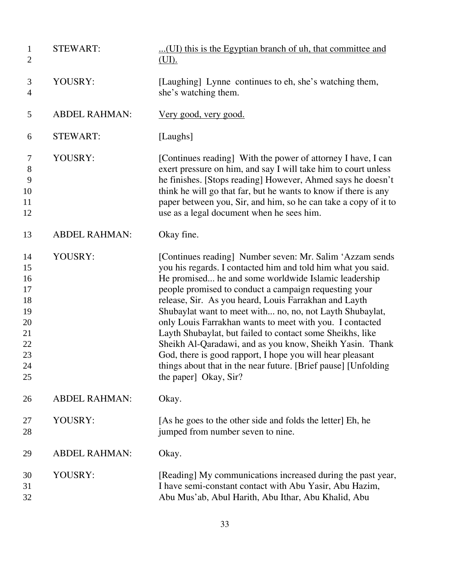| $\mathbf{1}$<br>$\overline{2}$                                       | <b>STEWART:</b>      | (UI) this is the Egyptian branch of uh, that committee and<br>(UI).                                                                                                                                                                                                                                                                                                                                                                                                                                                                                                                                                                                                                                         |
|----------------------------------------------------------------------|----------------------|-------------------------------------------------------------------------------------------------------------------------------------------------------------------------------------------------------------------------------------------------------------------------------------------------------------------------------------------------------------------------------------------------------------------------------------------------------------------------------------------------------------------------------------------------------------------------------------------------------------------------------------------------------------------------------------------------------------|
| 3<br>$\overline{4}$                                                  | YOUSRY:              | [Laughing] Lynne continues to eh, she's watching them,<br>she's watching them.                                                                                                                                                                                                                                                                                                                                                                                                                                                                                                                                                                                                                              |
| 5                                                                    | <b>ABDEL RAHMAN:</b> | <u>Very good, very good.</u>                                                                                                                                                                                                                                                                                                                                                                                                                                                                                                                                                                                                                                                                                |
| 6                                                                    | <b>STEWART:</b>      | [Laughs]                                                                                                                                                                                                                                                                                                                                                                                                                                                                                                                                                                                                                                                                                                    |
| 7<br>$8\,$<br>9<br>10<br>11<br>12                                    | YOUSRY:              | [Continues reading] With the power of attorney I have, I can<br>exert pressure on him, and say I will take him to court unless<br>he finishes. [Stops reading] However, Ahmed says he doesn't<br>think he will go that far, but he wants to know if there is any<br>paper between you, Sir, and him, so he can take a copy of it to<br>use as a legal document when he sees him.                                                                                                                                                                                                                                                                                                                            |
| 13                                                                   | <b>ABDEL RAHMAN:</b> | Okay fine.                                                                                                                                                                                                                                                                                                                                                                                                                                                                                                                                                                                                                                                                                                  |
| 14<br>15<br>16<br>17<br>18<br>19<br>20<br>21<br>22<br>23<br>24<br>25 | YOUSRY:              | [Continues reading] Number seven: Mr. Salim 'Azzam sends<br>you his regards. I contacted him and told him what you said.<br>He promised he and some worldwide Islamic leadership<br>people promised to conduct a campaign requesting your<br>release, Sir. As you heard, Louis Farrakhan and Layth<br>Shubaylat want to meet with no, no, not Layth Shubaylat,<br>only Louis Farrakhan wants to meet with you. I contacted<br>Layth Shubaylat, but failed to contact some Sheikhs, like<br>Sheikh Al-Qaradawi, and as you know, Sheikh Yasin. Thank<br>God, there is good rapport, I hope you will hear pleasant<br>things about that in the near future. [Brief pause] [Unfolding<br>the paper] Okay, Sir? |
| 26                                                                   | <b>ABDEL RAHMAN:</b> | Okay.                                                                                                                                                                                                                                                                                                                                                                                                                                                                                                                                                                                                                                                                                                       |
| 27<br>28                                                             | YOUSRY:              | [As he goes to the other side and folds the letter] Eh, he<br>jumped from number seven to nine.                                                                                                                                                                                                                                                                                                                                                                                                                                                                                                                                                                                                             |
| 29                                                                   | <b>ABDEL RAHMAN:</b> | Okay.                                                                                                                                                                                                                                                                                                                                                                                                                                                                                                                                                                                                                                                                                                       |
| 30<br>31<br>32                                                       | YOUSRY:              | [Reading] My communications increased during the past year,<br>I have semi-constant contact with Abu Yasir, Abu Hazim,<br>Abu Mus'ab, Abul Harith, Abu Ithar, Abu Khalid, Abu                                                                                                                                                                                                                                                                                                                                                                                                                                                                                                                               |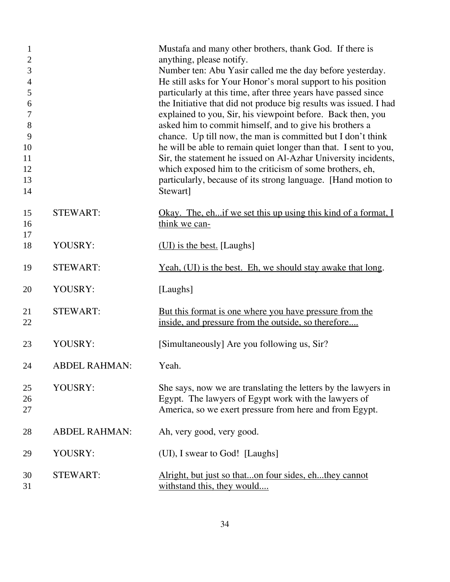| 1<br>$\mathbf{2}$<br>3<br>$\overline{4}$<br>5<br>6<br>$\boldsymbol{7}$<br>$8\,$<br>9<br>10<br>11<br>12<br>13<br>14 |                      | Mustafa and many other brothers, thank God. If there is<br>anything, please notify.<br>Number ten: Abu Yasir called me the day before yesterday.<br>He still asks for Your Honor's moral support to his position<br>particularly at this time, after three years have passed since<br>the Initiative that did not produce big results was issued. I had<br>explained to you, Sir, his viewpoint before. Back then, you<br>asked him to commit himself, and to give his brothers a<br>chance. Up till now, the man is committed but I don't think<br>he will be able to remain quiet longer than that. I sent to you,<br>Sir, the statement he issued on Al-Azhar University incidents,<br>which exposed him to the criticism of some brothers, eh,<br>particularly, because of its strong language. [Hand motion to<br>Stewart] |
|--------------------------------------------------------------------------------------------------------------------|----------------------|---------------------------------------------------------------------------------------------------------------------------------------------------------------------------------------------------------------------------------------------------------------------------------------------------------------------------------------------------------------------------------------------------------------------------------------------------------------------------------------------------------------------------------------------------------------------------------------------------------------------------------------------------------------------------------------------------------------------------------------------------------------------------------------------------------------------------------|
| 15<br>16                                                                                                           | <b>STEWART:</b>      | <u>Okay. The, eh if we set this up using this kind of a format, I</u><br>think we can-                                                                                                                                                                                                                                                                                                                                                                                                                                                                                                                                                                                                                                                                                                                                          |
| 17<br>18                                                                                                           | YOUSRY:              | (UI) is the best. [Laughs]                                                                                                                                                                                                                                                                                                                                                                                                                                                                                                                                                                                                                                                                                                                                                                                                      |
| 19                                                                                                                 | <b>STEWART:</b>      | <u>Yeah, (UI) is the best. Eh, we should stay awake that long.</u>                                                                                                                                                                                                                                                                                                                                                                                                                                                                                                                                                                                                                                                                                                                                                              |
| 20                                                                                                                 | YOUSRY:              | [Laughs]                                                                                                                                                                                                                                                                                                                                                                                                                                                                                                                                                                                                                                                                                                                                                                                                                        |
| 21<br>22                                                                                                           | <b>STEWART:</b>      | <u>But this format is one where you have pressure from the</u><br>inside, and pressure from the outside, so therefore                                                                                                                                                                                                                                                                                                                                                                                                                                                                                                                                                                                                                                                                                                           |
| 23                                                                                                                 | YOUSRY:              | [Simultaneously] Are you following us, Sir?                                                                                                                                                                                                                                                                                                                                                                                                                                                                                                                                                                                                                                                                                                                                                                                     |
| 24                                                                                                                 | <b>ABDEL RAHMAN:</b> | Yeah.                                                                                                                                                                                                                                                                                                                                                                                                                                                                                                                                                                                                                                                                                                                                                                                                                           |
| 25<br>26<br>27                                                                                                     | YOUSRY:              | She says, now we are translating the letters by the lawyers in<br>Egypt. The lawyers of Egypt work with the lawyers of<br>America, so we exert pressure from here and from Egypt.                                                                                                                                                                                                                                                                                                                                                                                                                                                                                                                                                                                                                                               |
| 28                                                                                                                 | <b>ABDEL RAHMAN:</b> | Ah, very good, very good.                                                                                                                                                                                                                                                                                                                                                                                                                                                                                                                                                                                                                                                                                                                                                                                                       |
| 29                                                                                                                 | YOUSRY:              | (UI), I swear to God! [Laughs]                                                                                                                                                                                                                                                                                                                                                                                                                                                                                                                                                                                                                                                                                                                                                                                                  |
| 30<br>31                                                                                                           | <b>STEWART:</b>      | Alright, but just so thaton four sides, ehthey cannot<br>withstand this, they would                                                                                                                                                                                                                                                                                                                                                                                                                                                                                                                                                                                                                                                                                                                                             |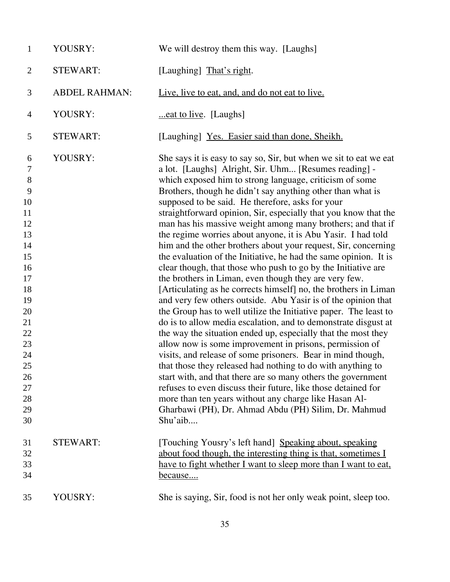| $\mathbf{1}$                                                                                                                                                      | YOUSRY:              | We will destroy them this way. [Laughs]                                                                                                                                                                                                                                                                                                                                                                                                                                                                                                                                                                                                                                                                                                                                                                                                                                                                                                                                                                                                                                                                                                                                                                                                                                                                                                                                                                                                                                                                                                                                    |
|-------------------------------------------------------------------------------------------------------------------------------------------------------------------|----------------------|----------------------------------------------------------------------------------------------------------------------------------------------------------------------------------------------------------------------------------------------------------------------------------------------------------------------------------------------------------------------------------------------------------------------------------------------------------------------------------------------------------------------------------------------------------------------------------------------------------------------------------------------------------------------------------------------------------------------------------------------------------------------------------------------------------------------------------------------------------------------------------------------------------------------------------------------------------------------------------------------------------------------------------------------------------------------------------------------------------------------------------------------------------------------------------------------------------------------------------------------------------------------------------------------------------------------------------------------------------------------------------------------------------------------------------------------------------------------------------------------------------------------------------------------------------------------------|
| $\overline{2}$                                                                                                                                                    | <b>STEWART:</b>      | [Laughing] That's right.                                                                                                                                                                                                                                                                                                                                                                                                                                                                                                                                                                                                                                                                                                                                                                                                                                                                                                                                                                                                                                                                                                                                                                                                                                                                                                                                                                                                                                                                                                                                                   |
| 3                                                                                                                                                                 | <b>ABDEL RAHMAN:</b> | Live, live to eat, and, and do not eat to live.                                                                                                                                                                                                                                                                                                                                                                                                                                                                                                                                                                                                                                                                                                                                                                                                                                                                                                                                                                                                                                                                                                                                                                                                                                                                                                                                                                                                                                                                                                                            |
| $\overline{4}$                                                                                                                                                    | YOUSRY:              | eat to live. [Laughs]                                                                                                                                                                                                                                                                                                                                                                                                                                                                                                                                                                                                                                                                                                                                                                                                                                                                                                                                                                                                                                                                                                                                                                                                                                                                                                                                                                                                                                                                                                                                                      |
| 5                                                                                                                                                                 | <b>STEWART:</b>      | [Laughing] Yes. Easier said than done, Sheikh.                                                                                                                                                                                                                                                                                                                                                                                                                                                                                                                                                                                                                                                                                                                                                                                                                                                                                                                                                                                                                                                                                                                                                                                                                                                                                                                                                                                                                                                                                                                             |
| 6<br>$\boldsymbol{7}$<br>$8\,$<br>9<br>10<br>11<br>12<br>13<br>14<br>15<br>16<br>17<br>18<br>19<br>20<br>21<br>22<br>23<br>24<br>25<br>26<br>27<br>28<br>29<br>30 | YOUSRY:              | She says it is easy to say so, Sir, but when we sit to eat we eat<br>a lot. [Laughs] Alright, Sir. Uhm [Resumes reading] -<br>which exposed him to strong language, criticism of some<br>Brothers, though he didn't say anything other than what is<br>supposed to be said. He therefore, asks for your<br>straightforward opinion, Sir, especially that you know that the<br>man has his massive weight among many brothers; and that if<br>the regime worries about anyone, it is Abu Yasir. I had told<br>him and the other brothers about your request, Sir, concerning<br>the evaluation of the Initiative, he had the same opinion. It is<br>clear though, that those who push to go by the Initiative are<br>the brothers in Liman, even though they are very few.<br>[Articulating as he corrects himself] no, the brothers in Liman<br>and very few others outside. Abu Yasir is of the opinion that<br>the Group has to well utilize the Initiative paper. The least to<br>do is to allow media escalation, and to demonstrate disgust at<br>the way the situation ended up, especially that the most they<br>allow now is some improvement in prisons, permission of<br>visits, and release of some prisoners. Bear in mind though,<br>that those they released had nothing to do with anything to<br>start with, and that there are so many others the government<br>refuses to even discuss their future, like those detained for<br>more than ten years without any charge like Hasan Al-<br>Gharbawi (PH), Dr. Ahmad Abdu (PH) Silim, Dr. Mahmud<br>Shu'aib |
| 31<br>32<br>33<br>34                                                                                                                                              | <b>STEWART:</b>      | [Touching Yousry's left hand] Speaking about, speaking<br>about food though, the interesting thing is that, sometimes I<br>have to fight whether I want to sleep more than I want to eat,<br><u>because</u>                                                                                                                                                                                                                                                                                                                                                                                                                                                                                                                                                                                                                                                                                                                                                                                                                                                                                                                                                                                                                                                                                                                                                                                                                                                                                                                                                                |
| 35                                                                                                                                                                | YOUSRY:              | She is saying, Sir, food is not her only weak point, sleep too.                                                                                                                                                                                                                                                                                                                                                                                                                                                                                                                                                                                                                                                                                                                                                                                                                                                                                                                                                                                                                                                                                                                                                                                                                                                                                                                                                                                                                                                                                                            |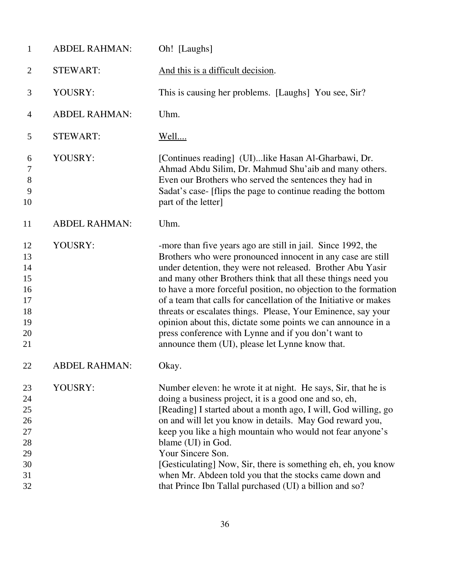| $\mathbf{1}$                                             | <b>ABDEL RAHMAN:</b> | Oh! [Laughs]                                                                                                                                                                                                                                                                                                                                                                                                                                                                                                                                                                                                                                |
|----------------------------------------------------------|----------------------|---------------------------------------------------------------------------------------------------------------------------------------------------------------------------------------------------------------------------------------------------------------------------------------------------------------------------------------------------------------------------------------------------------------------------------------------------------------------------------------------------------------------------------------------------------------------------------------------------------------------------------------------|
| $\overline{2}$                                           | <b>STEWART:</b>      | And this is a difficult decision.                                                                                                                                                                                                                                                                                                                                                                                                                                                                                                                                                                                                           |
| 3                                                        | YOUSRY:              | This is causing her problems. [Laughs] You see, Sir?                                                                                                                                                                                                                                                                                                                                                                                                                                                                                                                                                                                        |
| 4                                                        | <b>ABDEL RAHMAN:</b> | Uhm.                                                                                                                                                                                                                                                                                                                                                                                                                                                                                                                                                                                                                                        |
| 5                                                        | <b>STEWART:</b>      | <u>Well</u>                                                                                                                                                                                                                                                                                                                                                                                                                                                                                                                                                                                                                                 |
| 6<br>7<br>8<br>9<br>10                                   | YOUSRY:              | [Continues reading] (UI)like Hasan Al-Gharbawi, Dr.<br>Ahmad Abdu Silim, Dr. Mahmud Shu'aib and many others.<br>Even our Brothers who served the sentences they had in<br>Sadat's case- [flips the page to continue reading the bottom<br>part of the letter]                                                                                                                                                                                                                                                                                                                                                                               |
| 11                                                       | <b>ABDEL RAHMAN:</b> | Uhm.                                                                                                                                                                                                                                                                                                                                                                                                                                                                                                                                                                                                                                        |
| 12<br>13<br>14<br>15<br>16<br>17<br>18<br>19<br>20<br>21 | YOUSRY:              | -more than five years ago are still in jail. Since 1992, the<br>Brothers who were pronounced innocent in any case are still<br>under detention, they were not released. Brother Abu Yasir<br>and many other Brothers think that all these things need you<br>to have a more forceful position, no objection to the formation<br>of a team that calls for cancellation of the Initiative or makes<br>threats or escalates things. Please, Your Eminence, say your<br>opinion about this, dictate some points we can announce in a<br>press conference with Lynne and if you don't want to<br>announce them (UI), please let Lynne know that. |
| 22                                                       | <b>ABDEL RAHMAN:</b> | Okay.                                                                                                                                                                                                                                                                                                                                                                                                                                                                                                                                                                                                                                       |
| 23<br>24<br>25<br>26<br>27<br>28<br>29<br>30<br>31<br>32 | YOUSRY:              | Number eleven: he wrote it at night. He says, Sir, that he is<br>doing a business project, it is a good one and so, eh,<br>[Reading] I started about a month ago, I will, God willing, go<br>on and will let you know in details. May God reward you,<br>keep you like a high mountain who would not fear anyone's<br>blame (UI) in God.<br>Your Sincere Son.<br>[Gesticulating] Now, Sir, there is something eh, eh, you know<br>when Mr. Abdeen told you that the stocks came down and<br>that Prince Ibn Tallal purchased (UI) a billion and so?                                                                                         |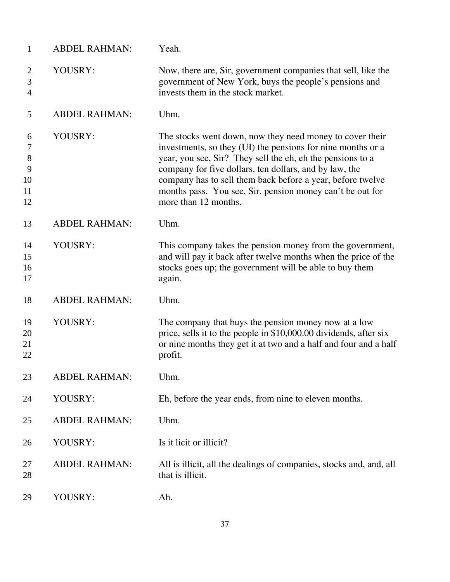| $\mathbf{1}$                                | <b>ABDEL RAHMAN:</b> | Yeah.                                                                                                                                                                                                                                                                                                                                                                                              |
|---------------------------------------------|----------------------|----------------------------------------------------------------------------------------------------------------------------------------------------------------------------------------------------------------------------------------------------------------------------------------------------------------------------------------------------------------------------------------------------|
| $\overline{c}$<br>3<br>$\overline{4}$       | YOUSRY:              | Now, there are, Sir, government companies that sell, like the<br>government of New York, buys the people's pensions and<br>invests them in the stock market.                                                                                                                                                                                                                                       |
| 5                                           | <b>ABDEL RAHMAN:</b> | Uhm.                                                                                                                                                                                                                                                                                                                                                                                               |
| 6<br>$\tau$<br>$8\,$<br>9<br>10<br>11<br>12 | YOUSRY:              | The stocks went down, now they need money to cover their<br>investments, so they (UI) the pensions for nine months or a<br>year, you see, Sir? They sell the eh, eh the pensions to a<br>company for five dollars, ten dollars, and by law, the<br>company has to sell them back before a year, before twelve<br>months pass. You see, Sir, pension money can't be out for<br>more than 12 months. |
| 13                                          | <b>ABDEL RAHMAN:</b> | Uhm.                                                                                                                                                                                                                                                                                                                                                                                               |
| 14<br>15<br>16<br>17                        | YOUSRY:              | This company takes the pension money from the government,<br>and will pay it back after twelve months when the price of the<br>stocks goes up; the government will be able to buy them<br>again.                                                                                                                                                                                                   |
| 18                                          | <b>ABDEL RAHMAN:</b> | Uhm.                                                                                                                                                                                                                                                                                                                                                                                               |
| 19<br>20<br>21<br>22                        | YOUSRY:              | The company that buys the pension money now at a low<br>price, sells it to the people in \$10,000.00 dividends, after six<br>or nine months they get it at two and a half and four and a half<br>profit.                                                                                                                                                                                           |
| 23                                          | <b>ABDEL RAHMAN:</b> | Uhm.                                                                                                                                                                                                                                                                                                                                                                                               |
| 24                                          | YOUSRY:              | Eh, before the year ends, from nine to eleven months.                                                                                                                                                                                                                                                                                                                                              |
| 25                                          | <b>ABDEL RAHMAN:</b> | Uhm.                                                                                                                                                                                                                                                                                                                                                                                               |
| 26                                          | YOUSRY:              | Is it licit or illicit?                                                                                                                                                                                                                                                                                                                                                                            |
| 27<br>28                                    | <b>ABDEL RAHMAN:</b> | All is illicit, all the dealings of companies, stocks and, and, all<br>that is illicit.                                                                                                                                                                                                                                                                                                            |
| 29                                          | YOUSRY:              | Ah.                                                                                                                                                                                                                                                                                                                                                                                                |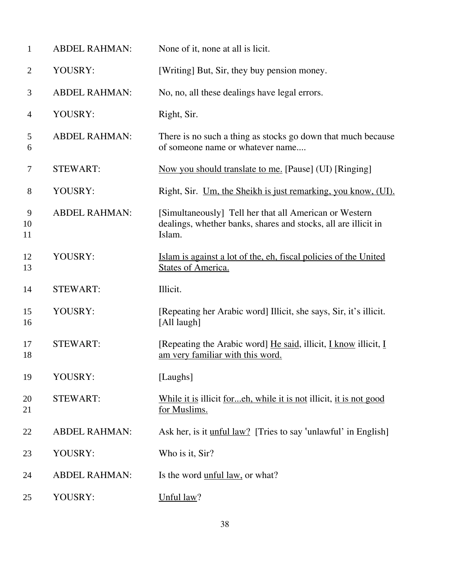| $\mathbf{1}$   | <b>ABDEL RAHMAN:</b> | None of it, none at all is licit.                                                                                                  |
|----------------|----------------------|------------------------------------------------------------------------------------------------------------------------------------|
| $\mathbf{2}$   | YOUSRY:              | [Writing] But, Sir, they buy pension money.                                                                                        |
| 3              | <b>ABDEL RAHMAN:</b> | No, no, all these dealings have legal errors.                                                                                      |
| $\overline{4}$ | YOUSRY:              | Right, Sir.                                                                                                                        |
| 5<br>6         | <b>ABDEL RAHMAN:</b> | There is no such a thing as stocks go down that much because<br>of someone name or whatever name                                   |
| 7              | <b>STEWART:</b>      | Now you should translate to me. [Pause] (UI) [Ringing]                                                                             |
| 8              | YOUSRY:              | Right, Sir. Um, the Sheikh is just remarking, you know, (UI).                                                                      |
| 9<br>10<br>11  | <b>ABDEL RAHMAN:</b> | [Simultaneously] Tell her that all American or Western<br>dealings, whether banks, shares and stocks, all are illicit in<br>Islam. |
| 12<br>13       | YOUSRY:              | Islam is against a lot of the, eh, fiscal policies of the United<br><b>States of America.</b>                                      |
| 14             | <b>STEWART:</b>      | Illicit.                                                                                                                           |
| 15<br>16       | YOUSRY:              | [Repeating her Arabic word] Illicit, she says, Sir, it's illicit.<br>[All laugh]                                                   |
| 17<br>18       | <b>STEWART:</b>      | [Repeating the Arabic word] He said, illicit, <i>L</i> know illicit, <i>L</i><br>am very familiar with this word.                  |
| 19             | YOUSRY:              | [Laughs]                                                                                                                           |
| 20<br>21       | <b>STEWART:</b>      | While it is illicit <u>foreh</u> , while it is not illicit, it is not good<br>for Muslims.                                         |
| 22             | <b>ABDEL RAHMAN:</b> | Ask her, is it unful law? [Tries to say 'unlawful' in English]                                                                     |
| 23             | YOUSRY:              | Who is it, Sir?                                                                                                                    |
| 24             | <b>ABDEL RAHMAN:</b> | Is the word <u>unful law</u> , or what?                                                                                            |
| 25             | YOUSRY:              | Unful law?                                                                                                                         |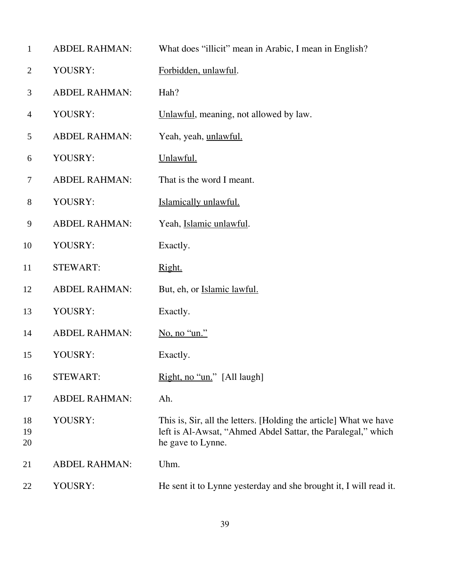| $\mathbf{1}$   | <b>ABDEL RAHMAN:</b> | What does "illicit" mean in Arabic, I mean in English?                                                                                                 |
|----------------|----------------------|--------------------------------------------------------------------------------------------------------------------------------------------------------|
| $\overline{2}$ | YOUSRY:              | Forbidden, unlawful.                                                                                                                                   |
| 3              | <b>ABDEL RAHMAN:</b> | Hah?                                                                                                                                                   |
| $\overline{4}$ | YOUSRY:              | Unlawful, meaning, not allowed by law.                                                                                                                 |
| 5              | <b>ABDEL RAHMAN:</b> | Yeah, yeah, unlawful.                                                                                                                                  |
| 6              | YOUSRY:              | Unlawful.                                                                                                                                              |
| $\overline{7}$ | <b>ABDEL RAHMAN:</b> | That is the word I meant.                                                                                                                              |
| $8\,$          | YOUSRY:              | Islamically unlawful.                                                                                                                                  |
| 9              | <b>ABDEL RAHMAN:</b> | Yeah, Islamic unlawful.                                                                                                                                |
| 10             | YOUSRY:              | Exactly.                                                                                                                                               |
| 11             | <b>STEWART:</b>      | Right.                                                                                                                                                 |
| 12             | <b>ABDEL RAHMAN:</b> | But, eh, or Islamic lawful.                                                                                                                            |
| 13             | YOUSRY:              | Exactly.                                                                                                                                               |
| 14             | <b>ABDEL RAHMAN:</b> | No, no "un."                                                                                                                                           |
| 15             | YOUSRY:              | Exactly.                                                                                                                                               |
| 16             | <b>STEWART:</b>      | Right, no "un." [All laugh]                                                                                                                            |
| 17             | <b>ABDEL RAHMAN:</b> | Ah.                                                                                                                                                    |
| 18<br>19<br>20 | YOUSRY:              | This is, Sir, all the letters. [Holding the article] What we have<br>left is Al-Awsat, "Ahmed Abdel Sattar, the Paralegal," which<br>he gave to Lynne. |
| 21             | <b>ABDEL RAHMAN:</b> | Uhm.                                                                                                                                                   |
| 22             | YOUSRY:              | He sent it to Lynne yesterday and she brought it, I will read it.                                                                                      |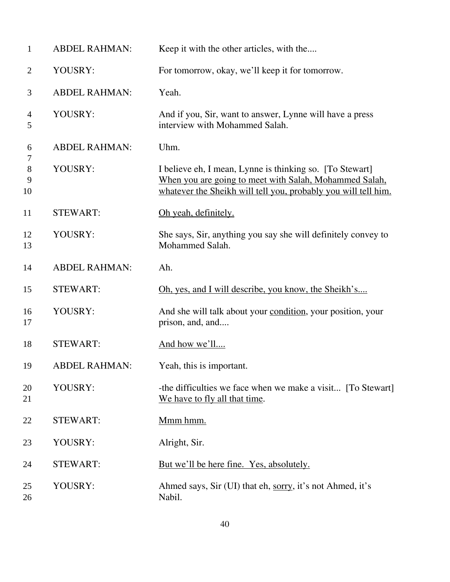| $\mathbf{1}$        | <b>ABDEL RAHMAN:</b> | Keep it with the other articles, with the                                                                                                                                            |
|---------------------|----------------------|--------------------------------------------------------------------------------------------------------------------------------------------------------------------------------------|
| $\overline{2}$      | YOUSRY:              | For tomorrow, okay, we'll keep it for tomorrow.                                                                                                                                      |
| 3                   | <b>ABDEL RAHMAN:</b> | Yeah.                                                                                                                                                                                |
| $\overline{4}$<br>5 | YOUSRY:              | And if you, Sir, want to answer, Lynne will have a press<br>interview with Mohammed Salah.                                                                                           |
| 6                   | <b>ABDEL RAHMAN:</b> | Uhm.                                                                                                                                                                                 |
| 7<br>8<br>9<br>10   | YOUSRY:              | I believe eh, I mean, Lynne is thinking so. [To Stewart]<br>When you are going to meet with Salah, Mohammed Salah,<br>whatever the Sheikh will tell you, probably you will tell him. |
| 11                  | <b>STEWART:</b>      | Oh yeah, definitely.                                                                                                                                                                 |
| 12<br>13            | YOUSRY:              | She says, Sir, anything you say she will definitely convey to<br>Mohammed Salah.                                                                                                     |
| 14                  | <b>ABDEL RAHMAN:</b> | Ah.                                                                                                                                                                                  |
| 15                  | <b>STEWART:</b>      | Oh, yes, and I will describe, you know, the Sheikh's                                                                                                                                 |
| 16<br>17            | YOUSRY:              | And she will talk about your condition, your position, your<br>prison, and, and                                                                                                      |
| 18                  | <b>STEWART:</b>      | And how we'll                                                                                                                                                                        |
| 19                  | <b>ABDEL RAHMAN:</b> | Yeah, this is important.                                                                                                                                                             |
| 20<br>21            | YOUSRY:              | -the difficulties we face when we make a visit [To Stewart]<br>We have to fly all that time.                                                                                         |
| 22                  | <b>STEWART:</b>      | Mmm hmm.                                                                                                                                                                             |
| 23                  | YOUSRY:              | Alright, Sir.                                                                                                                                                                        |
| 24                  | <b>STEWART:</b>      | <u>But we'll be here fine. Yes, absolutely.</u>                                                                                                                                      |
| 25<br>26            | YOUSRY:              | Ahmed says, Sir (UI) that eh, sorry, it's not Ahmed, it's<br>Nabil.                                                                                                                  |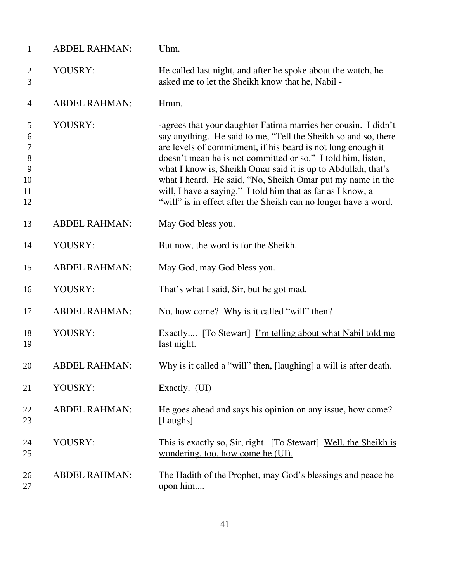| $\mathbf{1}$                                               | <b>ABDEL RAHMAN:</b> | Uhm.                                                                                                                                                                                                                                                                                                                                                                                                                                                                                                                              |
|------------------------------------------------------------|----------------------|-----------------------------------------------------------------------------------------------------------------------------------------------------------------------------------------------------------------------------------------------------------------------------------------------------------------------------------------------------------------------------------------------------------------------------------------------------------------------------------------------------------------------------------|
| $\overline{c}$<br>3                                        | YOUSRY:              | He called last night, and after he spoke about the watch, he<br>asked me to let the Sheikh know that he, Nabil -                                                                                                                                                                                                                                                                                                                                                                                                                  |
| 4                                                          | <b>ABDEL RAHMAN:</b> | Hmm.                                                                                                                                                                                                                                                                                                                                                                                                                                                                                                                              |
| 5<br>6<br>$\boldsymbol{7}$<br>$8\,$<br>9<br>10<br>11<br>12 | YOUSRY:              | -agrees that your daughter Fatima marries her cousin. I didn't<br>say anything. He said to me, "Tell the Sheikh so and so, there<br>are levels of commitment, if his beard is not long enough it<br>doesn't mean he is not committed or so." I told him, listen,<br>what I know is, Sheikh Omar said it is up to Abdullah, that's<br>what I heard. He said, "No, Sheikh Omar put my name in the<br>will, I have a saying." I told him that as far as I know, a<br>"will" is in effect after the Sheikh can no longer have a word. |
| 13                                                         | <b>ABDEL RAHMAN:</b> | May God bless you.                                                                                                                                                                                                                                                                                                                                                                                                                                                                                                                |
| 14                                                         | YOUSRY:              | But now, the word is for the Sheikh.                                                                                                                                                                                                                                                                                                                                                                                                                                                                                              |
| 15                                                         | <b>ABDEL RAHMAN:</b> | May God, may God bless you.                                                                                                                                                                                                                                                                                                                                                                                                                                                                                                       |
| 16                                                         | YOUSRY:              | That's what I said, Sir, but he got mad.                                                                                                                                                                                                                                                                                                                                                                                                                                                                                          |
| 17                                                         | <b>ABDEL RAHMAN:</b> | No, how come? Why is it called "will" then?                                                                                                                                                                                                                                                                                                                                                                                                                                                                                       |
| 18<br>19                                                   | YOUSRY:              | Exactly [To Stewart] <u>I'm telling about what Nabil told me</u><br>last night.                                                                                                                                                                                                                                                                                                                                                                                                                                                   |
| 20                                                         | <b>ABDEL RAHMAN:</b> | Why is it called a "will" then, [laughing] a will is after death.                                                                                                                                                                                                                                                                                                                                                                                                                                                                 |
| 21                                                         | YOUSRY:              | Exactly. (UI)                                                                                                                                                                                                                                                                                                                                                                                                                                                                                                                     |
| 22<br>23                                                   | <b>ABDEL RAHMAN:</b> | He goes ahead and says his opinion on any issue, how come?<br>[Laughs]                                                                                                                                                                                                                                                                                                                                                                                                                                                            |
| 24<br>25                                                   | YOUSRY:              | This is exactly so, Sir, right. [To Stewart] Well, the Sheikh is<br>wondering, too, how come he (UI).                                                                                                                                                                                                                                                                                                                                                                                                                             |
| 26<br>27                                                   | <b>ABDEL RAHMAN:</b> | The Hadith of the Prophet, may God's blessings and peace be.<br>upon him                                                                                                                                                                                                                                                                                                                                                                                                                                                          |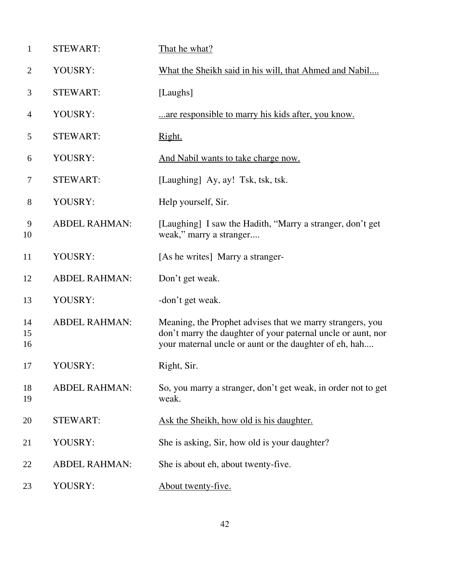| $\mathbf{1}$   | <b>STEWART:</b>      | That he what?                                                                                                                                                                       |
|----------------|----------------------|-------------------------------------------------------------------------------------------------------------------------------------------------------------------------------------|
| $\overline{2}$ | YOUSRY:              | What the Sheikh said in his will, that Ahmed and Nabil                                                                                                                              |
| 3              | <b>STEWART:</b>      | [Laughs]                                                                                                                                                                            |
| $\overline{4}$ | YOUSRY:              | are responsible to marry his kids after, you know.                                                                                                                                  |
| 5              | <b>STEWART:</b>      | Right.                                                                                                                                                                              |
| 6              | YOUSRY:              | And Nabil wants to take charge now.                                                                                                                                                 |
| 7              | <b>STEWART:</b>      | [Laughing] Ay, ay! Tsk, tsk, tsk.                                                                                                                                                   |
| 8              | YOUSRY:              | Help yourself, Sir.                                                                                                                                                                 |
| 9<br>10        | <b>ABDEL RAHMAN:</b> | [Laughing] I saw the Hadith, "Marry a stranger, don't get<br>weak," marry a stranger                                                                                                |
| 11             | YOUSRY:              | [As he writes] Marry a stranger-                                                                                                                                                    |
| 12             | <b>ABDEL RAHMAN:</b> | Don't get weak.                                                                                                                                                                     |
| 13             | YOUSRY:              | -don't get weak.                                                                                                                                                                    |
| 14<br>15<br>16 | <b>ABDEL RAHMAN:</b> | Meaning, the Prophet advises that we marry strangers, you<br>don't marry the daughter of your paternal uncle or aunt, nor<br>your maternal uncle or aunt or the daughter of eh, hah |
| 17             | YOUSRY:              | Right, Sir.                                                                                                                                                                         |
| 18<br>19       | <b>ABDEL RAHMAN:</b> | So, you marry a stranger, don't get weak, in order not to get<br>weak.                                                                                                              |
| 20             | <b>STEWART:</b>      | Ask the Sheikh, how old is his daughter.                                                                                                                                            |
| 21             | YOUSRY:              | She is asking, Sir, how old is your daughter?                                                                                                                                       |
| 22             | <b>ABDEL RAHMAN:</b> | She is about eh, about twenty-five.                                                                                                                                                 |
| 23             | YOUSRY:              | About twenty-five.                                                                                                                                                                  |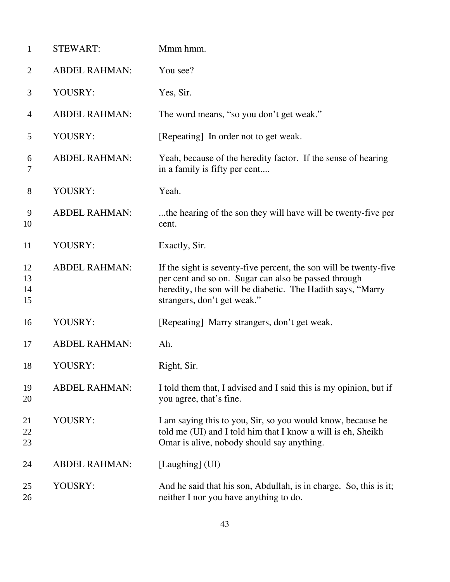| $\mathbf{1}$         | <b>STEWART:</b>      | Mmm hmm.                                                                                                                                                                                                                |
|----------------------|----------------------|-------------------------------------------------------------------------------------------------------------------------------------------------------------------------------------------------------------------------|
| $\overline{2}$       | <b>ABDEL RAHMAN:</b> | You see?                                                                                                                                                                                                                |
| 3                    | YOUSRY:              | Yes, Sir.                                                                                                                                                                                                               |
| $\overline{4}$       | <b>ABDEL RAHMAN:</b> | The word means, "so you don't get weak."                                                                                                                                                                                |
| 5                    | YOUSRY:              | [Repeating] In order not to get weak.                                                                                                                                                                                   |
| 6<br>7               | <b>ABDEL RAHMAN:</b> | Yeah, because of the heredity factor. If the sense of hearing<br>in a family is fifty per cent                                                                                                                          |
| 8                    | YOUSRY:              | Yeah.                                                                                                                                                                                                                   |
| 9<br>10              | <b>ABDEL RAHMAN:</b> | the hearing of the son they will have will be twenty-five per<br>cent.                                                                                                                                                  |
| 11                   | YOUSRY:              | Exactly, Sir.                                                                                                                                                                                                           |
| 12<br>13<br>14<br>15 | <b>ABDEL RAHMAN:</b> | If the sight is seventy-five percent, the son will be twenty-five<br>per cent and so on. Sugar can also be passed through<br>heredity, the son will be diabetic. The Hadith says, "Marry<br>strangers, don't get weak." |
| 16                   | YOUSRY:              | [Repeating] Marry strangers, don't get weak.                                                                                                                                                                            |
| 17                   | <b>ABDEL RAHMAN:</b> | Ah.                                                                                                                                                                                                                     |
| 18                   | YOUSRY:              | Right, Sir.                                                                                                                                                                                                             |
| 19<br>20             | <b>ABDEL RAHMAN:</b> | I told them that, I advised and I said this is my opinion, but if<br>you agree, that's fine.                                                                                                                            |
| 21<br>22<br>23       | YOUSRY:              | I am saying this to you, Sir, so you would know, because he<br>told me (UI) and I told him that I know a will is eh, Sheikh<br>Omar is alive, nobody should say anything.                                               |
| 24                   | <b>ABDEL RAHMAN:</b> | [Laughing] (UI)                                                                                                                                                                                                         |
| 25<br>26             | YOUSRY:              | And he said that his son, Abdullah, is in charge. So, this is it;<br>neither I nor you have anything to do.                                                                                                             |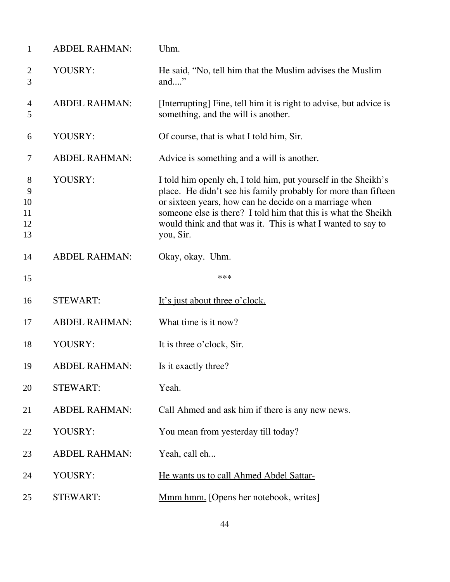| $\mathbf{1}$                   | <b>ABDEL RAHMAN:</b> | Uhm.                                                                                                                                                                                                                                                                                                                                      |
|--------------------------------|----------------------|-------------------------------------------------------------------------------------------------------------------------------------------------------------------------------------------------------------------------------------------------------------------------------------------------------------------------------------------|
| $\overline{2}$<br>3            | YOUSRY:              | He said, "No, tell him that the Muslim advises the Muslim<br>and"                                                                                                                                                                                                                                                                         |
| 4<br>5                         | <b>ABDEL RAHMAN:</b> | [Interrupting] Fine, tell him it is right to advise, but advice is<br>something, and the will is another.                                                                                                                                                                                                                                 |
| 6                              | YOUSRY:              | Of course, that is what I told him, Sir.                                                                                                                                                                                                                                                                                                  |
| 7                              | <b>ABDEL RAHMAN:</b> | Advice is something and a will is another.                                                                                                                                                                                                                                                                                                |
| 8<br>9<br>10<br>11<br>12<br>13 | YOUSRY:              | I told him openly eh, I told him, put yourself in the Sheikh's<br>place. He didn't see his family probably for more than fifteen<br>or sixteen years, how can he decide on a marriage when<br>someone else is there? I told him that this is what the Sheikh<br>would think and that was it. This is what I wanted to say to<br>you, Sir. |
| 14                             | <b>ABDEL RAHMAN:</b> | Okay, okay. Uhm.                                                                                                                                                                                                                                                                                                                          |
| 15                             |                      | ***                                                                                                                                                                                                                                                                                                                                       |
| 16                             | <b>STEWART:</b>      | It's just about three o'clock.                                                                                                                                                                                                                                                                                                            |
| 17                             | <b>ABDEL RAHMAN:</b> | What time is it now?                                                                                                                                                                                                                                                                                                                      |
| 18                             | YOUSRY:              | It is three o'clock, Sir.                                                                                                                                                                                                                                                                                                                 |
| 19                             | <b>ABDEL RAHMAN:</b> | Is it exactly three?                                                                                                                                                                                                                                                                                                                      |
| 20                             | <b>STEWART:</b>      | Yeah.                                                                                                                                                                                                                                                                                                                                     |
| 21                             | <b>ABDEL RAHMAN:</b> | Call Ahmed and ask him if there is any new news.                                                                                                                                                                                                                                                                                          |
| 22                             | YOUSRY:              | You mean from yesterday till today?                                                                                                                                                                                                                                                                                                       |
| 23                             | <b>ABDEL RAHMAN:</b> | Yeah, call eh                                                                                                                                                                                                                                                                                                                             |
| 24                             | YOUSRY:              | He wants us to call Ahmed Abdel Sattar-                                                                                                                                                                                                                                                                                                   |
| 25                             | <b>STEWART:</b>      | Mmm hmm. [Opens her notebook, writes]                                                                                                                                                                                                                                                                                                     |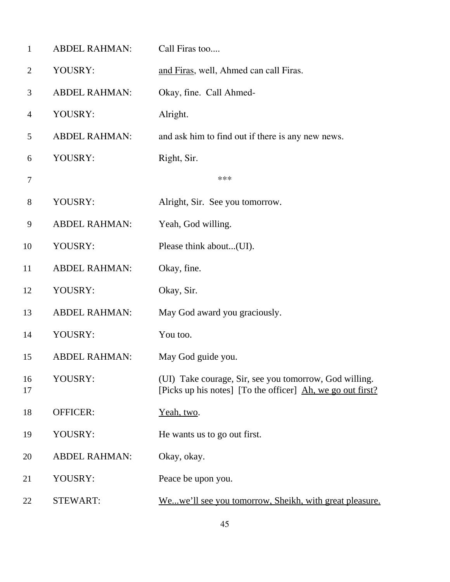| $\mathbf{1}$   | <b>ABDEL RAHMAN:</b> | Call Firas too                                                                                                       |
|----------------|----------------------|----------------------------------------------------------------------------------------------------------------------|
| $\overline{2}$ | YOUSRY:              | and Firas, well, Ahmed can call Firas.                                                                               |
| 3              | <b>ABDEL RAHMAN:</b> | Okay, fine. Call Ahmed-                                                                                              |
| $\overline{4}$ | YOUSRY:              | Alright.                                                                                                             |
| 5              | <b>ABDEL RAHMAN:</b> | and ask him to find out if there is any new news.                                                                    |
| 6              | YOUSRY:              | Right, Sir.                                                                                                          |
| $\tau$         |                      | ***                                                                                                                  |
| $8\,$          | YOUSRY:              | Alright, Sir. See you tomorrow.                                                                                      |
| 9              | <b>ABDEL RAHMAN:</b> | Yeah, God willing.                                                                                                   |
| 10             | YOUSRY:              | Please think about(UI).                                                                                              |
| 11             | <b>ABDEL RAHMAN:</b> | Okay, fine.                                                                                                          |
| 12             | YOUSRY:              | Okay, Sir.                                                                                                           |
| 13             | <b>ABDEL RAHMAN:</b> | May God award you graciously.                                                                                        |
| 14             | YOUSRY:              | You too.                                                                                                             |
| 15             | <b>ABDEL RAHMAN:</b> | May God guide you.                                                                                                   |
| 16<br>17       | YOUSRY:              | (UI) Take courage, Sir, see you tomorrow, God willing.<br>[Picks up his notes] [To the officer] Ah, we go out first? |
| 18             | <b>OFFICER:</b>      | Yeah, two.                                                                                                           |
| 19             | YOUSRY:              | He wants us to go out first.                                                                                         |
| 20             | <b>ABDEL RAHMAN:</b> | Okay, okay.                                                                                                          |
| 21             | YOUSRY:              | Peace be upon you.                                                                                                   |
| 22             | <b>STEWART:</b>      | Wewe'll see you tomorrow, Sheikh, with great pleasure.                                                               |